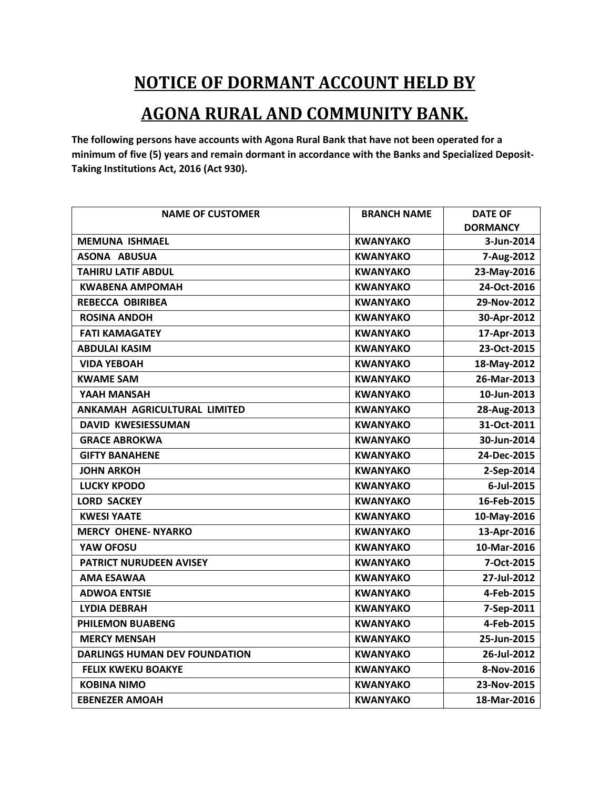## **NOTICE OF DORMANT ACCOUNT HELD BY**

## **AGONA RURAL AND COMMUNITY BANK.**

**The following persons have accounts with Agona Rural Bank that have not been operated for a minimum of five (5) years and remain dormant in accordance with the Banks and Specialized Deposit-Taking Institutions Act, 2016 (Act 930).** 

| <b>NAME OF CUSTOMER</b>              | <b>BRANCH NAME</b> | <b>DATE OF</b>  |
|--------------------------------------|--------------------|-----------------|
|                                      |                    | <b>DORMANCY</b> |
| <b>MEMUNA ISHMAEL</b>                | <b>KWANYAKO</b>    | 3-Jun-2014      |
| <b>ASONA ABUSUA</b>                  | <b>KWANYAKO</b>    | 7-Aug-2012      |
| <b>TAHIRU LATIF ABDUL</b>            | <b>KWANYAKO</b>    | 23-May-2016     |
| <b>KWABENA AMPOMAH</b>               | <b>KWANYAKO</b>    | 24-Oct-2016     |
| <b>REBECCA OBIRIBEA</b>              | <b>KWANYAKO</b>    | 29-Nov-2012     |
| <b>ROSINA ANDOH</b>                  | <b>KWANYAKO</b>    | 30-Apr-2012     |
| <b>FATI KAMAGATEY</b>                | <b>KWANYAKO</b>    | 17-Apr-2013     |
| <b>ABDULAI KASIM</b>                 | <b>KWANYAKO</b>    | 23-Oct-2015     |
| <b>VIDA YEBOAH</b>                   | <b>KWANYAKO</b>    | 18-May-2012     |
| <b>KWAME SAM</b>                     | <b>KWANYAKO</b>    | 26-Mar-2013     |
| YAAH MANSAH                          | <b>KWANYAKO</b>    | 10-Jun-2013     |
| ANKAMAH AGRICULTURAL LIMITED         | <b>KWANYAKO</b>    | 28-Aug-2013     |
| <b>DAVID KWESIESSUMAN</b>            | <b>KWANYAKO</b>    | 31-Oct-2011     |
| <b>GRACE ABROKWA</b>                 | <b>KWANYAKO</b>    | 30-Jun-2014     |
| <b>GIFTY BANAHENE</b>                | <b>KWANYAKO</b>    | 24-Dec-2015     |
| <b>JOHN ARKOH</b>                    | <b>KWANYAKO</b>    | 2-Sep-2014      |
| <b>LUCKY KPODO</b>                   | <b>KWANYAKO</b>    | 6-Jul-2015      |
| <b>LORD SACKEY</b>                   | <b>KWANYAKO</b>    | 16-Feb-2015     |
| <b>KWESI YAATE</b>                   | <b>KWANYAKO</b>    | 10-May-2016     |
| <b>MERCY OHENE- NYARKO</b>           | <b>KWANYAKO</b>    | 13-Apr-2016     |
| YAW OFOSU                            | <b>KWANYAKO</b>    | 10-Mar-2016     |
| PATRICT NURUDEEN AVISEY              | <b>KWANYAKO</b>    | 7-Oct-2015      |
| <b>AMA ESAWAA</b>                    | <b>KWANYAKO</b>    | 27-Jul-2012     |
| <b>ADWOA ENTSIE</b>                  | <b>KWANYAKO</b>    | 4-Feb-2015      |
| <b>LYDIA DEBRAH</b>                  | <b>KWANYAKO</b>    | 7-Sep-2011      |
| <b>PHILEMON BUABENG</b>              | <b>KWANYAKO</b>    | 4-Feb-2015      |
| <b>MERCY MENSAH</b>                  | <b>KWANYAKO</b>    | 25-Jun-2015     |
| <b>DARLINGS HUMAN DEV FOUNDATION</b> | <b>KWANYAKO</b>    | 26-Jul-2012     |
| <b>FELIX KWEKU BOAKYE</b>            | <b>KWANYAKO</b>    | 8-Nov-2016      |
| <b>KOBINA NIMO</b>                   | <b>KWANYAKO</b>    | 23-Nov-2015     |
| <b>EBENEZER AMOAH</b>                | <b>KWANYAKO</b>    | 18-Mar-2016     |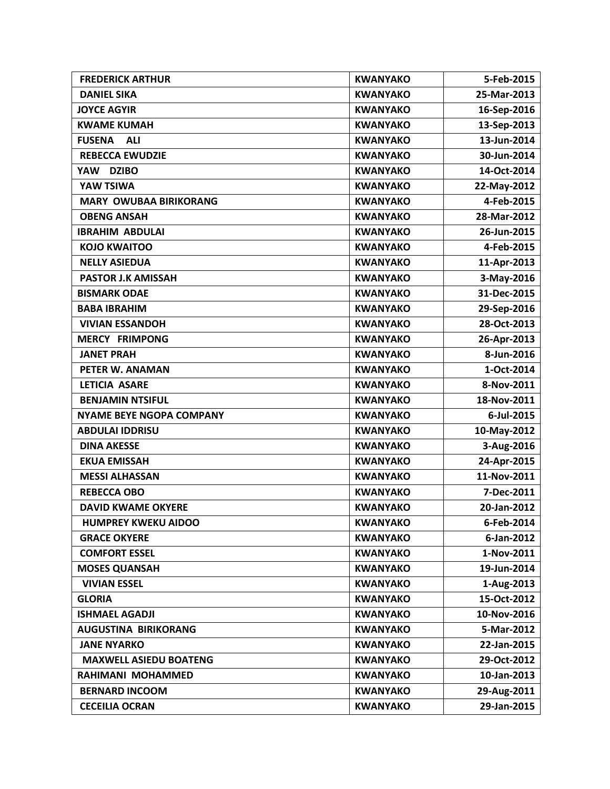| <b>FREDERICK ARTHUR</b>         | <b>KWANYAKO</b> | 5-Feb-2015  |
|---------------------------------|-----------------|-------------|
| <b>DANIEL SIKA</b>              | <b>KWANYAKO</b> | 25-Mar-2013 |
| <b>JOYCE AGYIR</b>              | <b>KWANYAKO</b> | 16-Sep-2016 |
| <b>KWAME KUMAH</b>              | <b>KWANYAKO</b> | 13-Sep-2013 |
| <b>FUSENA</b><br><b>ALI</b>     | <b>KWANYAKO</b> | 13-Jun-2014 |
| <b>REBECCA EWUDZIE</b>          | <b>KWANYAKO</b> | 30-Jun-2014 |
| YAW DZIBO                       | <b>KWANYAKO</b> | 14-Oct-2014 |
| <b>YAW TSIWA</b>                | <b>KWANYAKO</b> | 22-May-2012 |
| <b>MARY OWUBAA BIRIKORANG</b>   | <b>KWANYAKO</b> | 4-Feb-2015  |
| <b>OBENG ANSAH</b>              | <b>KWANYAKO</b> | 28-Mar-2012 |
| <b>IBRAHIM ABDULAI</b>          | <b>KWANYAKO</b> | 26-Jun-2015 |
| <b>KOJO KWAITOO</b>             | <b>KWANYAKO</b> | 4-Feb-2015  |
| <b>NELLY ASIEDUA</b>            | <b>KWANYAKO</b> | 11-Apr-2013 |
| <b>PASTOR J.K AMISSAH</b>       | <b>KWANYAKO</b> | 3-May-2016  |
| <b>BISMARK ODAE</b>             | <b>KWANYAKO</b> | 31-Dec-2015 |
| <b>BABA IBRAHIM</b>             | <b>KWANYAKO</b> | 29-Sep-2016 |
| <b>VIVIAN ESSANDOH</b>          | <b>KWANYAKO</b> | 28-Oct-2013 |
| <b>MERCY FRIMPONG</b>           | <b>KWANYAKO</b> | 26-Apr-2013 |
| <b>JANET PRAH</b>               | <b>KWANYAKO</b> | 8-Jun-2016  |
| <b>PETER W. ANAMAN</b>          | <b>KWANYAKO</b> | 1-Oct-2014  |
| LETICIA ASARE                   | <b>KWANYAKO</b> | 8-Nov-2011  |
| <b>BENJAMIN NTSIFUL</b>         | <b>KWANYAKO</b> | 18-Nov-2011 |
| <b>NYAME BEYE NGOPA COMPANY</b> | <b>KWANYAKO</b> | 6-Jul-2015  |
| <b>ABDULAI IDDRISU</b>          | <b>KWANYAKO</b> | 10-May-2012 |
| <b>DINA AKESSE</b>              | <b>KWANYAKO</b> | 3-Aug-2016  |
| <b>EKUA EMISSAH</b>             | <b>KWANYAKO</b> | 24-Apr-2015 |
| <b>MESSI ALHASSAN</b>           | <b>KWANYAKO</b> | 11-Nov-2011 |
| <b>REBECCA OBO</b>              | <b>KWANYAKO</b> | 7-Dec-2011  |
| <b>DAVID KWAME OKYERE</b>       | <b>KWANYAKO</b> | 20-Jan-2012 |
| <b>HUMPREY KWEKU AIDOO</b>      | <b>KWANYAKO</b> | 6-Feb-2014  |
| <b>GRACE OKYERE</b>             | <b>KWANYAKO</b> | 6-Jan-2012  |
| <b>COMFORT ESSEL</b>            | <b>KWANYAKO</b> | 1-Nov-2011  |
| <b>MOSES QUANSAH</b>            | <b>KWANYAKO</b> | 19-Jun-2014 |
| <b>VIVIAN ESSEL</b>             | <b>KWANYAKO</b> | 1-Aug-2013  |
| <b>GLORIA</b>                   | <b>KWANYAKO</b> | 15-Oct-2012 |
| <b>ISHMAEL AGADJI</b>           | <b>KWANYAKO</b> | 10-Nov-2016 |
| AUGUSTINA BIRIKORANG            | <b>KWANYAKO</b> | 5-Mar-2012  |
| <b>JANE NYARKO</b>              | <b>KWANYAKO</b> | 22-Jan-2015 |
| <b>MAXWELL ASIEDU BOATENG</b>   | <b>KWANYAKO</b> | 29-Oct-2012 |
| RAHIMANI MOHAMMED               | <b>KWANYAKO</b> | 10-Jan-2013 |
| <b>BERNARD INCOOM</b>           | <b>KWANYAKO</b> | 29-Aug-2011 |
| <b>CECEILIA OCRAN</b>           | <b>KWANYAKO</b> | 29-Jan-2015 |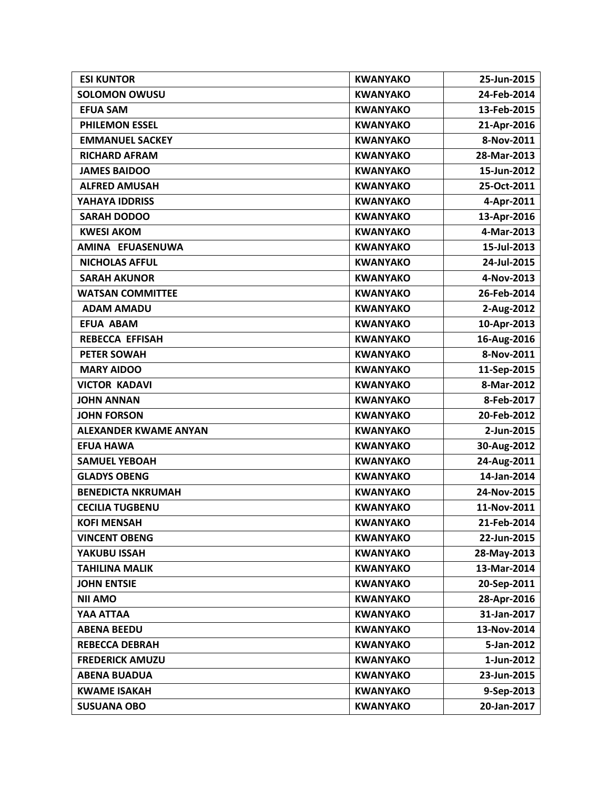| <b>ESI KUNTOR</b>            | <b>KWANYAKO</b> | 25-Jun-2015 |
|------------------------------|-----------------|-------------|
| <b>SOLOMON OWUSU</b>         | <b>KWANYAKO</b> | 24-Feb-2014 |
| <b>EFUA SAM</b>              | <b>KWANYAKO</b> | 13-Feb-2015 |
| <b>PHILEMON ESSEL</b>        | <b>KWANYAKO</b> | 21-Apr-2016 |
| <b>EMMANUEL SACKEY</b>       | <b>KWANYAKO</b> | 8-Nov-2011  |
| <b>RICHARD AFRAM</b>         | <b>KWANYAKO</b> | 28-Mar-2013 |
| <b>JAMES BAIDOO</b>          | <b>KWANYAKO</b> | 15-Jun-2012 |
| <b>ALFRED AMUSAH</b>         | <b>KWANYAKO</b> | 25-Oct-2011 |
| YAHAYA IDDRISS               | <b>KWANYAKO</b> | 4-Apr-2011  |
| <b>SARAH DODOO</b>           | <b>KWANYAKO</b> | 13-Apr-2016 |
| <b>KWESI AKOM</b>            | <b>KWANYAKO</b> | 4-Mar-2013  |
| AMINA EFUASENUWA             | <b>KWANYAKO</b> | 15-Jul-2013 |
| <b>NICHOLAS AFFUL</b>        | <b>KWANYAKO</b> | 24-Jul-2015 |
| <b>SARAH AKUNOR</b>          | <b>KWANYAKO</b> | 4-Nov-2013  |
| <b>WATSAN COMMITTEE</b>      | <b>KWANYAKO</b> | 26-Feb-2014 |
| <b>ADAM AMADU</b>            | <b>KWANYAKO</b> | 2-Aug-2012  |
| <b>EFUA ABAM</b>             | <b>KWANYAKO</b> | 10-Apr-2013 |
| <b>REBECCA EFFISAH</b>       | <b>KWANYAKO</b> | 16-Aug-2016 |
| <b>PETER SOWAH</b>           | <b>KWANYAKO</b> | 8-Nov-2011  |
| <b>MARY AIDOO</b>            | <b>KWANYAKO</b> | 11-Sep-2015 |
| <b>VICTOR KADAVI</b>         | <b>KWANYAKO</b> | 8-Mar-2012  |
| <b>JOHN ANNAN</b>            | <b>KWANYAKO</b> | 8-Feb-2017  |
| <b>JOHN FORSON</b>           | <b>KWANYAKO</b> | 20-Feb-2012 |
| <b>ALEXANDER KWAME ANYAN</b> | <b>KWANYAKO</b> | 2-Jun-2015  |
| <b>EFUA HAWA</b>             | <b>KWANYAKO</b> | 30-Aug-2012 |
| <b>SAMUEL YEBOAH</b>         | <b>KWANYAKO</b> | 24-Aug-2011 |
| <b>GLADYS OBENG</b>          | <b>KWANYAKO</b> | 14-Jan-2014 |
| <b>BENEDICTA NKRUMAH</b>     | <b>KWANYAKO</b> | 24-Nov-2015 |
| <b>CECILIA TUGBENU</b>       | <b>KWANYAKO</b> | 11-Nov-2011 |
| <b>KOFI MENSAH</b>           | <b>KWANYAKO</b> | 21-Feb-2014 |
| <b>VINCENT OBENG</b>         | <b>KWANYAKO</b> | 22-Jun-2015 |
| YAKUBU ISSAH                 | <b>KWANYAKO</b> | 28-May-2013 |
| <b>TAHILINA MALIK</b>        | <b>KWANYAKO</b> | 13-Mar-2014 |
| <b>JOHN ENTSIE</b>           | <b>KWANYAKO</b> | 20-Sep-2011 |
| <b>NII AMO</b>               | <b>KWANYAKO</b> | 28-Apr-2016 |
| YAA ATTAA                    | <b>KWANYAKO</b> | 31-Jan-2017 |
| <b>ABENA BEEDU</b>           | <b>KWANYAKO</b> | 13-Nov-2014 |
| <b>REBECCA DEBRAH</b>        | <b>KWANYAKO</b> | 5-Jan-2012  |
| <b>FREDERICK AMUZU</b>       | <b>KWANYAKO</b> | 1-Jun-2012  |
| <b>ABENA BUADUA</b>          | <b>KWANYAKO</b> | 23-Jun-2015 |
| <b>KWAME ISAKAH</b>          | <b>KWANYAKO</b> | 9-Sep-2013  |
| <b>SUSUANA OBO</b>           | <b>KWANYAKO</b> | 20-Jan-2017 |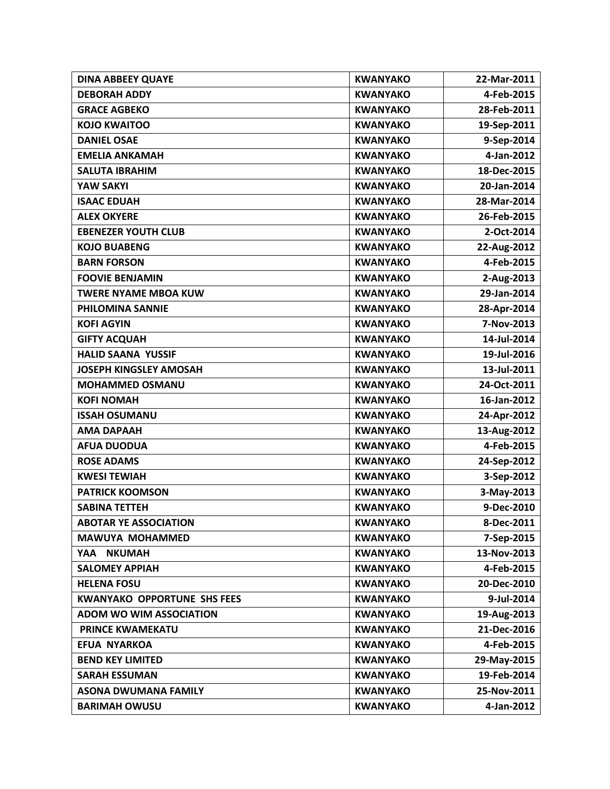| <b>DINA ABBEEY QUAYE</b>           | <b>KWANYAKO</b> | 22-Mar-2011 |
|------------------------------------|-----------------|-------------|
| <b>DEBORAH ADDY</b>                | <b>KWANYAKO</b> | 4-Feb-2015  |
| <b>GRACE AGBEKO</b>                | <b>KWANYAKO</b> | 28-Feb-2011 |
| <b>KOJO KWAITOO</b>                | <b>KWANYAKO</b> | 19-Sep-2011 |
| <b>DANIEL OSAE</b>                 | <b>KWANYAKO</b> | 9-Sep-2014  |
| <b>EMELIA ANKAMAH</b>              | <b>KWANYAKO</b> | 4-Jan-2012  |
| <b>SALUTA IBRAHIM</b>              | <b>KWANYAKO</b> | 18-Dec-2015 |
| <b>YAW SAKYI</b>                   | <b>KWANYAKO</b> | 20-Jan-2014 |
| <b>ISAAC EDUAH</b>                 | <b>KWANYAKO</b> | 28-Mar-2014 |
| <b>ALEX OKYERE</b>                 | <b>KWANYAKO</b> | 26-Feb-2015 |
| <b>EBENEZER YOUTH CLUB</b>         | <b>KWANYAKO</b> | 2-Oct-2014  |
| <b>KOJO BUABENG</b>                | <b>KWANYAKO</b> | 22-Aug-2012 |
| <b>BARN FORSON</b>                 | <b>KWANYAKO</b> | 4-Feb-2015  |
| <b>FOOVIE BENJAMIN</b>             | <b>KWANYAKO</b> | 2-Aug-2013  |
| <b>TWERE NYAME MBOA KUW</b>        | <b>KWANYAKO</b> | 29-Jan-2014 |
| PHILOMINA SANNIE                   | <b>KWANYAKO</b> | 28-Apr-2014 |
| <b>KOFI AGYIN</b>                  | <b>KWANYAKO</b> | 7-Nov-2013  |
| <b>GIFTY ACQUAH</b>                | <b>KWANYAKO</b> | 14-Jul-2014 |
| <b>HALID SAANA YUSSIF</b>          | <b>KWANYAKO</b> | 19-Jul-2016 |
| <b>JOSEPH KINGSLEY AMOSAH</b>      | <b>KWANYAKO</b> | 13-Jul-2011 |
| <b>MOHAMMED OSMANU</b>             | <b>KWANYAKO</b> | 24-Oct-2011 |
| <b>KOFI NOMAH</b>                  | <b>KWANYAKO</b> | 16-Jan-2012 |
| <b>ISSAH OSUMANU</b>               | <b>KWANYAKO</b> | 24-Apr-2012 |
| <b>AMA DAPAAH</b>                  | <b>KWANYAKO</b> | 13-Aug-2012 |
| <b>AFUA DUODUA</b>                 | <b>KWANYAKO</b> | 4-Feb-2015  |
| <b>ROSE ADAMS</b>                  | <b>KWANYAKO</b> | 24-Sep-2012 |
| <b>KWESI TEWIAH</b>                | <b>KWANYAKO</b> | 3-Sep-2012  |
| <b>PATRICK KOOMSON</b>             | <b>KWANYAKO</b> | 3-May-2013  |
| <b>SABINA TETTEH</b>               | <b>KWANYAKO</b> | 9-Dec-2010  |
| <b>ABOTAR YE ASSOCIATION</b>       | <b>KWANYAKO</b> | 8-Dec-2011  |
| <b>MAWUYA MOHAMMED</b>             | <b>KWANYAKO</b> | 7-Sep-2015  |
| YAA NKUMAH                         | <b>KWANYAKO</b> | 13-Nov-2013 |
| <b>SALOMEY APPIAH</b>              | <b>KWANYAKO</b> | 4-Feb-2015  |
| <b>HELENA FOSU</b>                 | <b>KWANYAKO</b> | 20-Dec-2010 |
| <b>KWANYAKO OPPORTUNE SHS FEES</b> | <b>KWANYAKO</b> | 9-Jul-2014  |
| <b>ADOM WO WIM ASSOCIATION</b>     | <b>KWANYAKO</b> | 19-Aug-2013 |
| <b>PRINCE KWAMEKATU</b>            | <b>KWANYAKO</b> | 21-Dec-2016 |
| <b>EFUA NYARKOA</b>                | <b>KWANYAKO</b> | 4-Feb-2015  |
| <b>BEND KEY LIMITED</b>            | <b>KWANYAKO</b> | 29-May-2015 |
| <b>SARAH ESSUMAN</b>               | <b>KWANYAKO</b> | 19-Feb-2014 |
| <b>ASONA DWUMANA FAMILY</b>        | <b>KWANYAKO</b> | 25-Nov-2011 |
| <b>BARIMAH OWUSU</b>               | <b>KWANYAKO</b> | 4-Jan-2012  |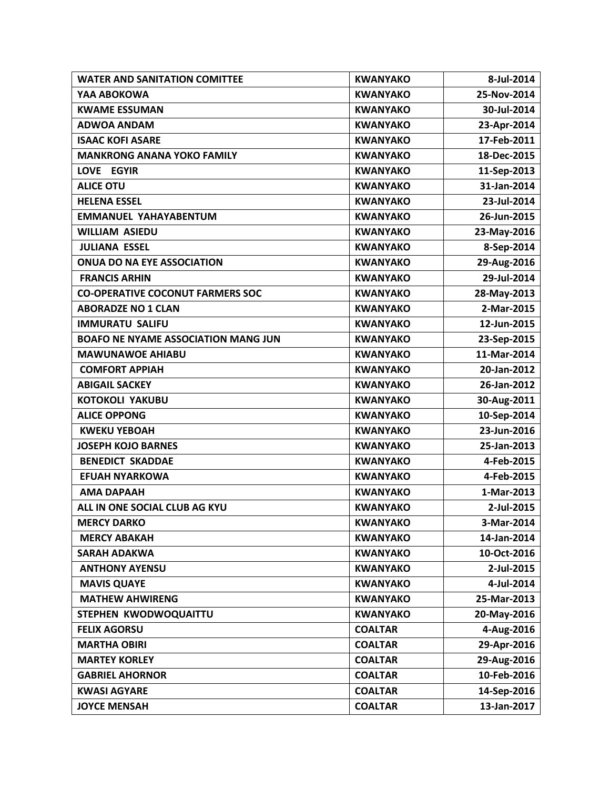| <b>WATER AND SANITATION COMITTEE</b>       | <b>KWANYAKO</b> | 8-Jul-2014  |
|--------------------------------------------|-----------------|-------------|
| YAA ABOKOWA                                | <b>KWANYAKO</b> | 25-Nov-2014 |
| <b>KWAME ESSUMAN</b>                       | <b>KWANYAKO</b> | 30-Jul-2014 |
| <b>ADWOA ANDAM</b>                         | <b>KWANYAKO</b> | 23-Apr-2014 |
| <b>ISAAC KOFI ASARE</b>                    | <b>KWANYAKO</b> | 17-Feb-2011 |
| <b>MANKRONG ANANA YOKO FAMILY</b>          | <b>KWANYAKO</b> | 18-Dec-2015 |
| LOVE EGYIR                                 | <b>KWANYAKO</b> | 11-Sep-2013 |
| <b>ALICE OTU</b>                           | <b>KWANYAKO</b> | 31-Jan-2014 |
| <b>HELENA ESSEL</b>                        | <b>KWANYAKO</b> | 23-Jul-2014 |
| <b>EMMANUEL YAHAYABENTUM</b>               | <b>KWANYAKO</b> | 26-Jun-2015 |
| <b>WILLIAM ASIEDU</b>                      | <b>KWANYAKO</b> | 23-May-2016 |
| <b>JULIANA ESSEL</b>                       | <b>KWANYAKO</b> | 8-Sep-2014  |
| <b>ONUA DO NA EYE ASSOCIATION</b>          | <b>KWANYAKO</b> | 29-Aug-2016 |
| <b>FRANCIS ARHIN</b>                       | <b>KWANYAKO</b> | 29-Jul-2014 |
| <b>CO-OPERATIVE COCONUT FARMERS SOC</b>    | <b>KWANYAKO</b> | 28-May-2013 |
| <b>ABORADZE NO 1 CLAN</b>                  | <b>KWANYAKO</b> | 2-Mar-2015  |
| <b>IMMURATU SALIFU</b>                     | <b>KWANYAKO</b> | 12-Jun-2015 |
| <b>BOAFO NE NYAME ASSOCIATION MANG JUN</b> | <b>KWANYAKO</b> | 23-Sep-2015 |
| <b>MAWUNAWOE AHIABU</b>                    | <b>KWANYAKO</b> | 11-Mar-2014 |
| <b>COMFORT APPIAH</b>                      | <b>KWANYAKO</b> | 20-Jan-2012 |
| <b>ABIGAIL SACKEY</b>                      | <b>KWANYAKO</b> | 26-Jan-2012 |
| <b>KOTOKOLI YAKUBU</b>                     | <b>KWANYAKO</b> | 30-Aug-2011 |
| <b>ALICE OPPONG</b>                        | <b>KWANYAKO</b> | 10-Sep-2014 |
| <b>KWEKU YEBOAH</b>                        | <b>KWANYAKO</b> | 23-Jun-2016 |
| <b>JOSEPH KOJO BARNES</b>                  | <b>KWANYAKO</b> | 25-Jan-2013 |
| <b>BENEDICT SKADDAE</b>                    | <b>KWANYAKO</b> | 4-Feb-2015  |
| <b>EFUAH NYARKOWA</b>                      | <b>KWANYAKO</b> | 4-Feb-2015  |
| <b>AMA DAPAAH</b>                          | <b>KWANYAKO</b> | 1-Mar-2013  |
| ALL IN ONE SOCIAL CLUB AG KYU              | <b>KWANYAKO</b> | 2-Jul-2015  |
| <b>MERCY DARKO</b>                         | <b>KWANYAKO</b> | 3-Mar-2014  |
| <b>MERCY ABAKAH</b>                        | <b>KWANYAKO</b> | 14-Jan-2014 |
| <b>SARAH ADAKWA</b>                        | <b>KWANYAKO</b> | 10-Oct-2016 |
| <b>ANTHONY AYENSU</b>                      | <b>KWANYAKO</b> | 2-Jul-2015  |
| <b>MAVIS QUAYE</b>                         | <b>KWANYAKO</b> | 4-Jul-2014  |
| <b>MATHEW AHWIRENG</b>                     | <b>KWANYAKO</b> | 25-Mar-2013 |
| STEPHEN KWODWOQUAITTU                      | <b>KWANYAKO</b> | 20-May-2016 |
| <b>FELIX AGORSU</b>                        | <b>COALTAR</b>  | 4-Aug-2016  |
| <b>MARTHA OBIRI</b>                        | <b>COALTAR</b>  | 29-Apr-2016 |
| <b>MARTEY KORLEY</b>                       | <b>COALTAR</b>  | 29-Aug-2016 |
| <b>GABRIEL AHORNOR</b>                     | <b>COALTAR</b>  | 10-Feb-2016 |
| <b>KWASI AGYARE</b>                        | <b>COALTAR</b>  | 14-Sep-2016 |
| <b>JOYCE MENSAH</b>                        | <b>COALTAR</b>  | 13-Jan-2017 |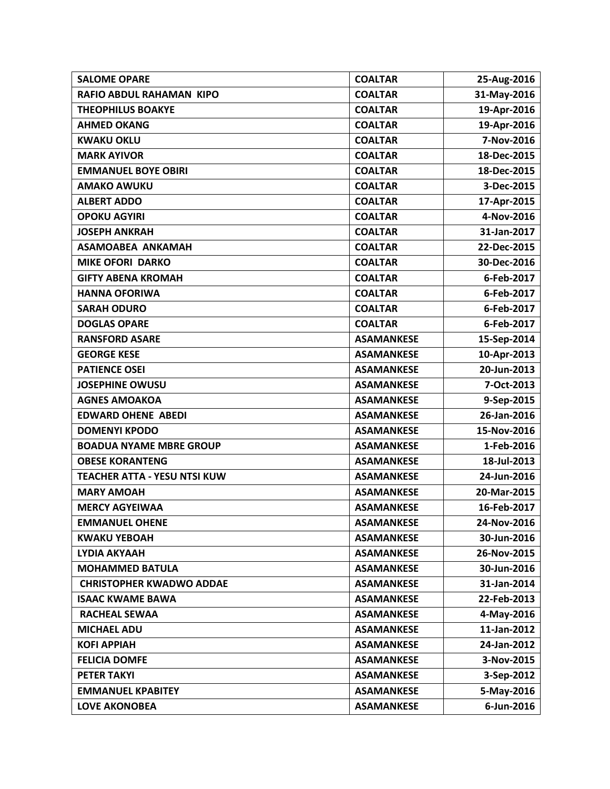| <b>SALOME OPARE</b>                 | <b>COALTAR</b>    | 25-Aug-2016 |
|-------------------------------------|-------------------|-------------|
| <b>RAFIO ABDUL RAHAMAN KIPO</b>     | <b>COALTAR</b>    | 31-May-2016 |
| <b>THEOPHILUS BOAKYE</b>            | <b>COALTAR</b>    | 19-Apr-2016 |
| <b>AHMED OKANG</b>                  | <b>COALTAR</b>    | 19-Apr-2016 |
| <b>KWAKU OKLU</b>                   | <b>COALTAR</b>    | 7-Nov-2016  |
| <b>MARK AYIVOR</b>                  | <b>COALTAR</b>    | 18-Dec-2015 |
| <b>EMMANUEL BOYE OBIRI</b>          | <b>COALTAR</b>    | 18-Dec-2015 |
| <b>AMAKO AWUKU</b>                  | <b>COALTAR</b>    | 3-Dec-2015  |
| <b>ALBERT ADDO</b>                  | <b>COALTAR</b>    | 17-Apr-2015 |
| <b>OPOKU AGYIRI</b>                 | <b>COALTAR</b>    | 4-Nov-2016  |
| <b>JOSEPH ANKRAH</b>                | <b>COALTAR</b>    | 31-Jan-2017 |
| <b>ASAMOABEA ANKAMAH</b>            | <b>COALTAR</b>    | 22-Dec-2015 |
| <b>MIKE OFORI DARKO</b>             | <b>COALTAR</b>    | 30-Dec-2016 |
| <b>GIFTY ABENA KROMAH</b>           | <b>COALTAR</b>    | 6-Feb-2017  |
| <b>HANNA OFORIWA</b>                | <b>COALTAR</b>    | 6-Feb-2017  |
| <b>SARAH ODURO</b>                  | <b>COALTAR</b>    | 6-Feb-2017  |
| <b>DOGLAS OPARE</b>                 | <b>COALTAR</b>    | 6-Feb-2017  |
| <b>RANSFORD ASARE</b>               | <b>ASAMANKESE</b> | 15-Sep-2014 |
| <b>GEORGE KESE</b>                  | <b>ASAMANKESE</b> | 10-Apr-2013 |
| <b>PATIENCE OSEI</b>                | <b>ASAMANKESE</b> | 20-Jun-2013 |
| <b>JOSEPHINE OWUSU</b>              | <b>ASAMANKESE</b> | 7-Oct-2013  |
| <b>AGNES AMOAKOA</b>                | <b>ASAMANKESE</b> | 9-Sep-2015  |
| <b>EDWARD OHENE ABEDI</b>           | <b>ASAMANKESE</b> | 26-Jan-2016 |
| <b>DOMENYI KPODO</b>                | <b>ASAMANKESE</b> | 15-Nov-2016 |
| <b>BOADUA NYAME MBRE GROUP</b>      | <b>ASAMANKESE</b> | 1-Feb-2016  |
| <b>OBESE KORANTENG</b>              | <b>ASAMANKESE</b> | 18-Jul-2013 |
| <b>TEACHER ATTA - YESU NTSI KUW</b> | <b>ASAMANKESE</b> | 24-Jun-2016 |
| <b>MARY AMOAH</b>                   | <b>ASAMANKESE</b> | 20-Mar-2015 |
| <b>MERCY AGYEIWAA</b>               | <b>ASAMANKESE</b> | 16-Feb-2017 |
| <b>EMMANUEL OHENE</b>               | <b>ASAMANKESE</b> | 24-Nov-2016 |
| <b>KWAKU YEBOAH</b>                 | <b>ASAMANKESE</b> | 30-Jun-2016 |
| LYDIA AKYAAH                        | <b>ASAMANKESE</b> | 26-Nov-2015 |
| <b>MOHAMMED BATULA</b>              | <b>ASAMANKESE</b> | 30-Jun-2016 |
| <b>CHRISTOPHER KWADWO ADDAE</b>     | <b>ASAMANKESE</b> | 31-Jan-2014 |
| <b>ISAAC KWAME BAWA</b>             | <b>ASAMANKESE</b> | 22-Feb-2013 |
| <b>RACHEAL SEWAA</b>                | <b>ASAMANKESE</b> | 4-May-2016  |
| <b>MICHAEL ADU</b>                  | <b>ASAMANKESE</b> | 11-Jan-2012 |
| <b>KOFI APPIAH</b>                  | <b>ASAMANKESE</b> | 24-Jan-2012 |
| <b>FELICIA DOMFE</b>                | <b>ASAMANKESE</b> | 3-Nov-2015  |
| <b>PETER TAKYI</b>                  | <b>ASAMANKESE</b> | 3-Sep-2012  |
| <b>EMMANUEL KPABITEY</b>            | <b>ASAMANKESE</b> | 5-May-2016  |
| <b>LOVE AKONOBEA</b>                | <b>ASAMANKESE</b> | 6-Jun-2016  |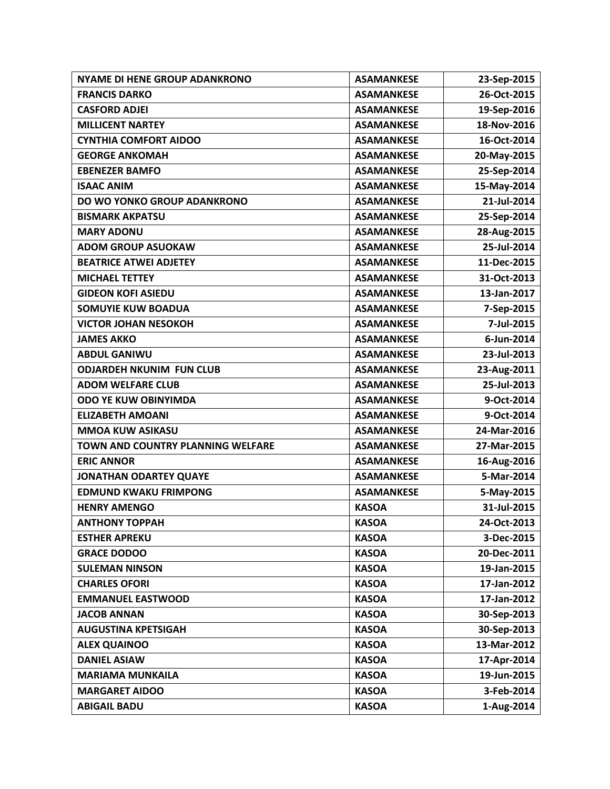| <b>NYAME DI HENE GROUP ADANKRONO</b> | <b>ASAMANKESE</b> | 23-Sep-2015 |
|--------------------------------------|-------------------|-------------|
| <b>FRANCIS DARKO</b>                 | <b>ASAMANKESE</b> | 26-Oct-2015 |
| <b>CASFORD ADJEI</b>                 | <b>ASAMANKESE</b> | 19-Sep-2016 |
| <b>MILLICENT NARTEY</b>              | <b>ASAMANKESE</b> | 18-Nov-2016 |
| <b>CYNTHIA COMFORT AIDOO</b>         | <b>ASAMANKESE</b> | 16-Oct-2014 |
| <b>GEORGE ANKOMAH</b>                | <b>ASAMANKESE</b> | 20-May-2015 |
| <b>EBENEZER BAMFO</b>                | <b>ASAMANKESE</b> | 25-Sep-2014 |
| <b>ISAAC ANIM</b>                    | <b>ASAMANKESE</b> | 15-May-2014 |
| DO WO YONKO GROUP ADANKRONO          | <b>ASAMANKESE</b> | 21-Jul-2014 |
| <b>BISMARK AKPATSU</b>               | <b>ASAMANKESE</b> | 25-Sep-2014 |
| <b>MARY ADONU</b>                    | <b>ASAMANKESE</b> | 28-Aug-2015 |
| <b>ADOM GROUP ASUOKAW</b>            | <b>ASAMANKESE</b> | 25-Jul-2014 |
| <b>BEATRICE ATWEI ADJETEY</b>        | <b>ASAMANKESE</b> | 11-Dec-2015 |
| <b>MICHAEL TETTEY</b>                | <b>ASAMANKESE</b> | 31-Oct-2013 |
| <b>GIDEON KOFI ASIEDU</b>            | <b>ASAMANKESE</b> | 13-Jan-2017 |
| <b>SOMUYIE KUW BOADUA</b>            | <b>ASAMANKESE</b> | 7-Sep-2015  |
| <b>VICTOR JOHAN NESOKOH</b>          | <b>ASAMANKESE</b> | 7-Jul-2015  |
| <b>JAMES AKKO</b>                    | <b>ASAMANKESE</b> | 6-Jun-2014  |
| <b>ABDUL GANIWU</b>                  | <b>ASAMANKESE</b> | 23-Jul-2013 |
| <b>ODJARDEH NKUNIM FUN CLUB</b>      | <b>ASAMANKESE</b> | 23-Aug-2011 |
| <b>ADOM WELFARE CLUB</b>             | <b>ASAMANKESE</b> | 25-Jul-2013 |
| <b>ODO YE KUW OBINYIMDA</b>          | <b>ASAMANKESE</b> | 9-Oct-2014  |
| <b>ELIZABETH AMOANI</b>              | <b>ASAMANKESE</b> | 9-Oct-2014  |
| <b>MMOA KUW ASIKASU</b>              | <b>ASAMANKESE</b> | 24-Mar-2016 |
| TOWN AND COUNTRY PLANNING WELFARE    | <b>ASAMANKESE</b> | 27-Mar-2015 |
| <b>ERIC ANNOR</b>                    | <b>ASAMANKESE</b> | 16-Aug-2016 |
| <b>JONATHAN ODARTEY QUAYE</b>        | <b>ASAMANKESE</b> | 5-Mar-2014  |
| <b>EDMUND KWAKU FRIMPONG</b>         | <b>ASAMANKESE</b> | 5-May-2015  |
| <b>HENRY AMENGO</b>                  | <b>KASOA</b>      | 31-Jul-2015 |
| <b>ANTHONY TOPPAH</b>                | <b>KASOA</b>      | 24-Oct-2013 |
| <b>ESTHER APREKU</b>                 | <b>KASOA</b>      | 3-Dec-2015  |
| <b>GRACE DODOO</b>                   | <b>KASOA</b>      | 20-Dec-2011 |
| <b>SULEMAN NINSON</b>                | <b>KASOA</b>      | 19-Jan-2015 |
| <b>CHARLES OFORI</b>                 | <b>KASOA</b>      | 17-Jan-2012 |
| <b>EMMANUEL EASTWOOD</b>             | <b>KASOA</b>      | 17-Jan-2012 |
| <b>JACOB ANNAN</b>                   | <b>KASOA</b>      | 30-Sep-2013 |
| <b>AUGUSTINA KPETSIGAH</b>           | <b>KASOA</b>      | 30-Sep-2013 |
| <b>ALEX QUAINOO</b>                  | <b>KASOA</b>      | 13-Mar-2012 |
| <b>DANIEL ASIAW</b>                  | <b>KASOA</b>      | 17-Apr-2014 |
| <b>MARIAMA MUNKAILA</b>              | <b>KASOA</b>      | 19-Jun-2015 |
| <b>MARGARET AIDOO</b>                | <b>KASOA</b>      | 3-Feb-2014  |
| <b>ABIGAIL BADU</b>                  | <b>KASOA</b>      | 1-Aug-2014  |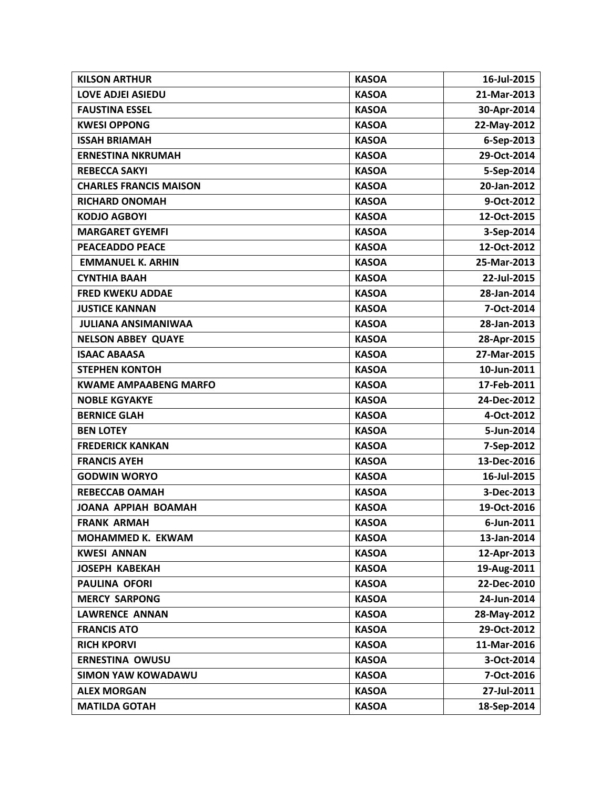| <b>KILSON ARTHUR</b>          | <b>KASOA</b> | 16-Jul-2015 |
|-------------------------------|--------------|-------------|
| <b>LOVE ADJEI ASIEDU</b>      | <b>KASOA</b> | 21-Mar-2013 |
| <b>FAUSTINA ESSEL</b>         | <b>KASOA</b> | 30-Apr-2014 |
| <b>KWESI OPPONG</b>           | <b>KASOA</b> | 22-May-2012 |
| <b>ISSAH BRIAMAH</b>          | <b>KASOA</b> | 6-Sep-2013  |
| <b>ERNESTINA NKRUMAH</b>      | <b>KASOA</b> | 29-Oct-2014 |
| <b>REBECCA SAKYI</b>          | <b>KASOA</b> | 5-Sep-2014  |
| <b>CHARLES FRANCIS MAISON</b> | <b>KASOA</b> | 20-Jan-2012 |
| <b>RICHARD ONOMAH</b>         | <b>KASOA</b> | 9-Oct-2012  |
| <b>KODJO AGBOYI</b>           | <b>KASOA</b> | 12-Oct-2015 |
| <b>MARGARET GYEMFI</b>        | <b>KASOA</b> | 3-Sep-2014  |
| <b>PEACEADDO PEACE</b>        | <b>KASOA</b> | 12-Oct-2012 |
| <b>EMMANUEL K. ARHIN</b>      | <b>KASOA</b> | 25-Mar-2013 |
| <b>CYNTHIA BAAH</b>           | <b>KASOA</b> | 22-Jul-2015 |
| <b>FRED KWEKU ADDAE</b>       | <b>KASOA</b> | 28-Jan-2014 |
| <b>JUSTICE KANNAN</b>         | <b>KASOA</b> | 7-Oct-2014  |
| <b>JULIANA ANSIMANIWAA</b>    | <b>KASOA</b> | 28-Jan-2013 |
| <b>NELSON ABBEY QUAYE</b>     | <b>KASOA</b> | 28-Apr-2015 |
| <b>ISAAC ABAASA</b>           | <b>KASOA</b> | 27-Mar-2015 |
| <b>STEPHEN KONTOH</b>         | <b>KASOA</b> | 10-Jun-2011 |
| <b>KWAME AMPAABENG MARFO</b>  | <b>KASOA</b> | 17-Feb-2011 |
| <b>NOBLE KGYAKYE</b>          | <b>KASOA</b> | 24-Dec-2012 |
| <b>BERNICE GLAH</b>           | <b>KASOA</b> | 4-Oct-2012  |
| <b>BEN LOTEY</b>              | <b>KASOA</b> | 5-Jun-2014  |
| <b>FREDERICK KANKAN</b>       | <b>KASOA</b> | 7-Sep-2012  |
| <b>FRANCIS AYEH</b>           | <b>KASOA</b> | 13-Dec-2016 |
| <b>GODWIN WORYO</b>           | <b>KASOA</b> | 16-Jul-2015 |
| <b>REBECCAB OAMAH</b>         | <b>KASOA</b> | 3-Dec-2013  |
| <b>JOANA APPIAH BOAMAH</b>    | <b>KASOA</b> | 19-Oct-2016 |
| <b>FRANK ARMAH</b>            | <b>KASOA</b> | 6-Jun-2011  |
| MOHAMMED K. EKWAM             | <b>KASOA</b> | 13-Jan-2014 |
| <b>KWESI ANNAN</b>            | <b>KASOA</b> | 12-Apr-2013 |
| <b>JOSEPH KABEKAH</b>         | <b>KASOA</b> | 19-Aug-2011 |
| <b>PAULINA OFORI</b>          | <b>KASOA</b> | 22-Dec-2010 |
| <b>MERCY SARPONG</b>          | <b>KASOA</b> | 24-Jun-2014 |
| <b>LAWRENCE ANNAN</b>         | <b>KASOA</b> | 28-May-2012 |
| <b>FRANCIS ATO</b>            | <b>KASOA</b> | 29-Oct-2012 |
| <b>RICH KPORVI</b>            | <b>KASOA</b> | 11-Mar-2016 |
| <b>ERNESTINA OWUSU</b>        | <b>KASOA</b> | 3-Oct-2014  |
| <b>SIMON YAW KOWADAWU</b>     | <b>KASOA</b> | 7-Oct-2016  |
| <b>ALEX MORGAN</b>            | <b>KASOA</b> | 27-Jul-2011 |
| <b>MATILDA GOTAH</b>          | <b>KASOA</b> | 18-Sep-2014 |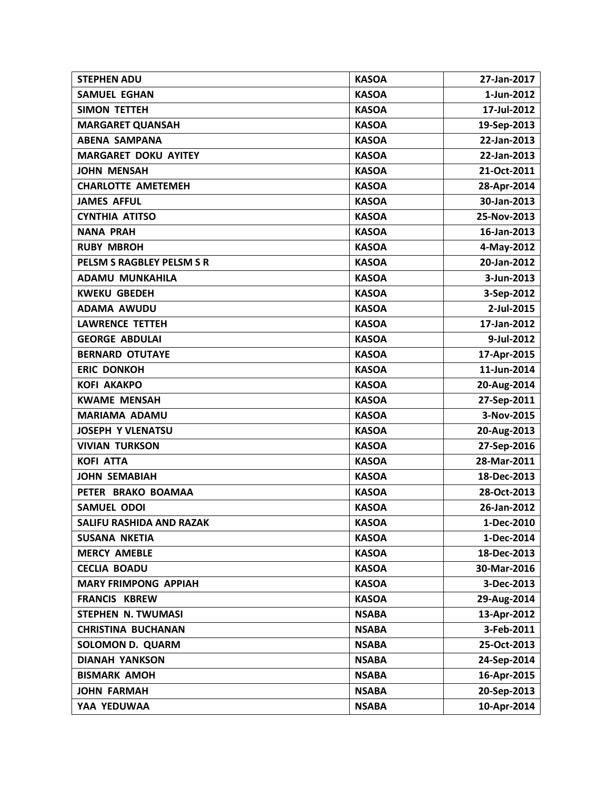| <b>STEPHEN ADU</b>              | <b>KASOA</b> | 27-Jan-2017 |
|---------------------------------|--------------|-------------|
| <b>SAMUEL EGHAN</b>             | <b>KASOA</b> | 1-Jun-2012  |
| <b>SIMON TETTEH</b>             | <b>KASOA</b> | 17-Jul-2012 |
| <b>MARGARET QUANSAH</b>         | <b>KASOA</b> | 19-Sep-2013 |
| <b>ABENA SAMPANA</b>            | <b>KASOA</b> | 22-Jan-2013 |
| <b>MARGARET DOKU AYITEY</b>     | <b>KASOA</b> | 22-Jan-2013 |
| <b>JOHN MENSAH</b>              | <b>KASOA</b> | 21-Oct-2011 |
| <b>CHARLOTTE AMETEMEH</b>       | <b>KASOA</b> | 28-Apr-2014 |
| <b>JAMES AFFUL</b>              | <b>KASOA</b> | 30-Jan-2013 |
| <b>CYNTHIA ATITSO</b>           | <b>KASOA</b> | 25-Nov-2013 |
| <b>NANA PRAH</b>                | <b>KASOA</b> | 16-Jan-2013 |
| <b>RUBY MBROH</b>               | <b>KASOA</b> | 4-May-2012  |
| PELSM S RAGBLEY PELSM S R       | <b>KASOA</b> | 20-Jan-2012 |
| <b>ADAMU MUNKAHILA</b>          | <b>KASOA</b> | 3-Jun-2013  |
| <b>KWEKU GBEDEH</b>             | <b>KASOA</b> | 3-Sep-2012  |
| <b>ADAMA AWUDU</b>              | <b>KASOA</b> | 2-Jul-2015  |
| <b>LAWRENCE TETTEH</b>          | <b>KASOA</b> | 17-Jan-2012 |
| <b>GEORGE ABDULAI</b>           | <b>KASOA</b> | 9-Jul-2012  |
| <b>BERNARD OTUTAYE</b>          | <b>KASOA</b> | 17-Apr-2015 |
| <b>ERIC DONKOH</b>              | <b>KASOA</b> | 11-Jun-2014 |
| <b>KOFI AKAKPO</b>              | <b>KASOA</b> | 20-Aug-2014 |
| <b>KWAME MENSAH</b>             | <b>KASOA</b> | 27-Sep-2011 |
| <b>MARIAMA ADAMU</b>            | <b>KASOA</b> | 3-Nov-2015  |
| <b>JOSEPH Y VLENATSU</b>        | <b>KASOA</b> | 20-Aug-2013 |
| <b>VIVIAN TURKSON</b>           | <b>KASOA</b> | 27-Sep-2016 |
| <b>KOFI ATTA</b>                | <b>KASOA</b> | 28-Mar-2011 |
| <b>JOHN SEMABIAH</b>            | <b>KASOA</b> | 18-Dec-2013 |
| PETER BRAKO BOAMAA              | <b>KASOA</b> | 28-Oct-2013 |
| <b>SAMUEL ODOI</b>              | <b>KASOA</b> | 26-Jan-2012 |
| <b>SALIFU RASHIDA AND RAZAK</b> | <b>KASOA</b> | 1-Dec-2010  |
| <b>SUSANA NKETIA</b>            | <b>KASOA</b> | 1-Dec-2014  |
| <b>MERCY AMEBLE</b>             | <b>KASOA</b> | 18-Dec-2013 |
| <b>CECLIA BOADU</b>             | <b>KASOA</b> | 30-Mar-2016 |
| <b>MARY FRIMPONG APPIAH</b>     | <b>KASOA</b> | 3-Dec-2013  |
| <b>FRANCIS KBREW</b>            | <b>KASOA</b> | 29-Aug-2014 |
| <b>STEPHEN N. TWUMASI</b>       | <b>NSABA</b> | 13-Apr-2012 |
| <b>CHRISTINA BUCHANAN</b>       | <b>NSABA</b> | 3-Feb-2011  |
| <b>SOLOMON D. QUARM</b>         | <b>NSABA</b> | 25-Oct-2013 |
| <b>DIANAH YANKSON</b>           | <b>NSABA</b> | 24-Sep-2014 |
| <b>BISMARK AMOH</b>             | <b>NSABA</b> | 16-Apr-2015 |
| <b>JOHN FARMAH</b>              | <b>NSABA</b> | 20-Sep-2013 |
| YAA YEDUWAA                     | <b>NSABA</b> | 10-Apr-2014 |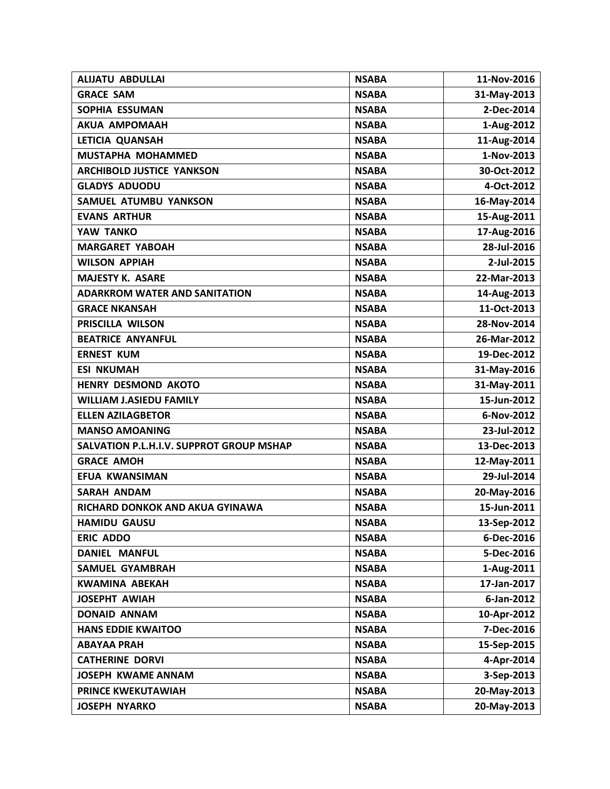| <b>ALIJATU ABDULLAI</b>                  | <b>NSABA</b> | 11-Nov-2016 |
|------------------------------------------|--------------|-------------|
| <b>GRACE SAM</b>                         | <b>NSABA</b> | 31-May-2013 |
| <b>SOPHIA ESSUMAN</b>                    | <b>NSABA</b> | 2-Dec-2014  |
| <b>AKUA AMPOMAAH</b>                     | <b>NSABA</b> | 1-Aug-2012  |
| LETICIA QUANSAH                          | <b>NSABA</b> | 11-Aug-2014 |
| MUSTAPHA MOHAMMED                        | <b>NSABA</b> | 1-Nov-2013  |
| <b>ARCHIBOLD JUSTICE YANKSON</b>         | <b>NSABA</b> | 30-Oct-2012 |
| <b>GLADYS ADUODU</b>                     | <b>NSABA</b> | 4-Oct-2012  |
| SAMUEL ATUMBU YANKSON                    | <b>NSABA</b> | 16-May-2014 |
| <b>EVANS ARTHUR</b>                      | <b>NSABA</b> | 15-Aug-2011 |
| YAW TANKO                                | <b>NSABA</b> | 17-Aug-2016 |
| <b>MARGARET YABOAH</b>                   | <b>NSABA</b> | 28-Jul-2016 |
| <b>WILSON APPIAH</b>                     | <b>NSABA</b> | 2-Jul-2015  |
| <b>MAJESTY K. ASARE</b>                  | <b>NSABA</b> | 22-Mar-2013 |
| <b>ADARKROM WATER AND SANITATION</b>     | <b>NSABA</b> | 14-Aug-2013 |
| <b>GRACE NKANSAH</b>                     | <b>NSABA</b> | 11-Oct-2013 |
| PRISCILLA WILSON                         | <b>NSABA</b> | 28-Nov-2014 |
| <b>BEATRICE ANYANFUL</b>                 | <b>NSABA</b> | 26-Mar-2012 |
| <b>ERNEST KUM</b>                        | <b>NSABA</b> | 19-Dec-2012 |
| <b>ESI NKUMAH</b>                        | <b>NSABA</b> | 31-May-2016 |
| <b>HENRY DESMOND AKOTO</b>               | <b>NSABA</b> | 31-May-2011 |
| <b>WILLIAM J.ASIEDU FAMILY</b>           | <b>NSABA</b> | 15-Jun-2012 |
| <b>ELLEN AZILAGBETOR</b>                 | <b>NSABA</b> | 6-Nov-2012  |
| <b>MANSO AMOANING</b>                    | <b>NSABA</b> | 23-Jul-2012 |
| SALVATION P.L.H.I.V. SUPPROT GROUP MSHAP | <b>NSABA</b> | 13-Dec-2013 |
| <b>GRACE AMOH</b>                        | <b>NSABA</b> | 12-May-2011 |
| EFUA KWANSIMAN                           | <b>NSABA</b> | 29-Jul-2014 |
| <b>SARAH ANDAM</b>                       | <b>NSABA</b> | 20-May-2016 |
| RICHARD DONKOK AND AKUA GYINAWA          | <b>NSABA</b> | 15-Jun-2011 |
| <b>HAMIDU GAUSU</b>                      | <b>NSABA</b> | 13-Sep-2012 |
| <b>ERIC ADDO</b>                         | <b>NSABA</b> | 6-Dec-2016  |
| <b>DANIEL MANFUL</b>                     | <b>NSABA</b> | 5-Dec-2016  |
| <b>SAMUEL GYAMBRAH</b>                   | <b>NSABA</b> | 1-Aug-2011  |
| <b>KWAMINA ABEKAH</b>                    | <b>NSABA</b> | 17-Jan-2017 |
| <b>JOSEPHT AWIAH</b>                     | <b>NSABA</b> | 6-Jan-2012  |
| <b>DONAID ANNAM</b>                      | <b>NSABA</b> | 10-Apr-2012 |
| <b>HANS EDDIE KWAITOO</b>                | <b>NSABA</b> | 7-Dec-2016  |
| <b>ABAYAA PRAH</b>                       | <b>NSABA</b> | 15-Sep-2015 |
| <b>CATHERINE DORVI</b>                   | <b>NSABA</b> | 4-Apr-2014  |
| <b>JOSEPH KWAME ANNAM</b>                | <b>NSABA</b> | 3-Sep-2013  |
| PRINCE KWEKUTAWIAH                       | <b>NSABA</b> | 20-May-2013 |
| <b>JOSEPH NYARKO</b>                     | <b>NSABA</b> | 20-May-2013 |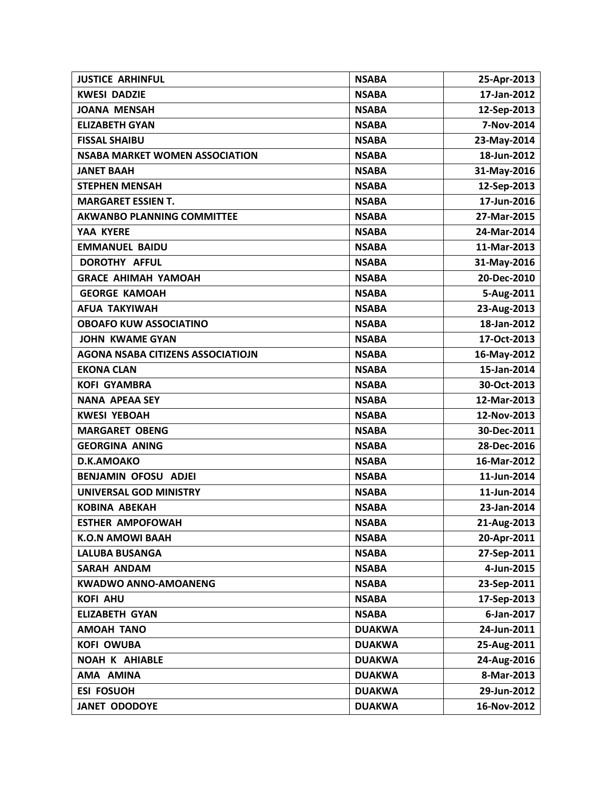| <b>JUSTICE ARHINFUL</b>                  | <b>NSABA</b>  | 25-Apr-2013 |
|------------------------------------------|---------------|-------------|
| <b>KWESI DADZIE</b>                      | <b>NSABA</b>  | 17-Jan-2012 |
| <b>JOANA MENSAH</b>                      | <b>NSABA</b>  | 12-Sep-2013 |
| <b>ELIZABETH GYAN</b>                    | <b>NSABA</b>  | 7-Nov-2014  |
| <b>FISSAL SHAIBU</b>                     | <b>NSABA</b>  | 23-May-2014 |
| <b>NSABA MARKET WOMEN ASSOCIATION</b>    | <b>NSABA</b>  | 18-Jun-2012 |
| <b>JANET BAAH</b>                        | <b>NSABA</b>  | 31-May-2016 |
| <b>STEPHEN MENSAH</b>                    | <b>NSABA</b>  | 12-Sep-2013 |
| <b>MARGARET ESSIEN T.</b>                | <b>NSABA</b>  | 17-Jun-2016 |
| <b>AKWANBO PLANNING COMMITTEE</b>        | <b>NSABA</b>  | 27-Mar-2015 |
| YAA KYERE                                | <b>NSABA</b>  | 24-Mar-2014 |
| <b>EMMANUEL BAIDU</b>                    | <b>NSABA</b>  | 11-Mar-2013 |
| DOROTHY AFFUL                            | <b>NSABA</b>  | 31-May-2016 |
| <b>GRACE AHIMAH YAMOAH</b>               | <b>NSABA</b>  | 20-Dec-2010 |
| <b>GEORGE KAMOAH</b>                     | <b>NSABA</b>  | 5-Aug-2011  |
| <b>AFUA TAKYIWAH</b>                     | <b>NSABA</b>  | 23-Aug-2013 |
| <b>OBOAFO KUW ASSOCIATINO</b>            | <b>NSABA</b>  | 18-Jan-2012 |
| <b>JOHN KWAME GYAN</b>                   | <b>NSABA</b>  | 17-Oct-2013 |
| <b>AGONA NSABA CITIZENS ASSOCIATIOJN</b> | <b>NSABA</b>  | 16-May-2012 |
| <b>EKONA CLAN</b>                        | <b>NSABA</b>  | 15-Jan-2014 |
| <b>KOFI GYAMBRA</b>                      | <b>NSABA</b>  | 30-Oct-2013 |
| <b>NANA APEAA SEY</b>                    | <b>NSABA</b>  | 12-Mar-2013 |
| <b>KWESI YEBOAH</b>                      | <b>NSABA</b>  | 12-Nov-2013 |
| <b>MARGARET OBENG</b>                    | <b>NSABA</b>  | 30-Dec-2011 |
| <b>GEORGINA ANING</b>                    | <b>NSABA</b>  | 28-Dec-2016 |
| D.K.AMOAKO                               | <b>NSABA</b>  | 16-Mar-2012 |
| <b>BENJAMIN OFOSU ADJEI</b>              | <b>NSABA</b>  | 11-Jun-2014 |
| UNIVERSAL GOD MINISTRY                   | <b>NSABA</b>  | 11-Jun-2014 |
| <b>KOBINA ABEKAH</b>                     | <b>NSABA</b>  | 23-Jan-2014 |
| <b>ESTHER AMPOFOWAH</b>                  | <b>NSABA</b>  | 21-Aug-2013 |
| <b>K.O.N AMOWI BAAH</b>                  | <b>NSABA</b>  | 20-Apr-2011 |
| <b>LALUBA BUSANGA</b>                    | <b>NSABA</b>  | 27-Sep-2011 |
| <b>SARAH ANDAM</b>                       | <b>NSABA</b>  | 4-Jun-2015  |
| <b>KWADWO ANNO-AMOANENG</b>              | <b>NSABA</b>  | 23-Sep-2011 |
| <b>KOFI AHU</b>                          | <b>NSABA</b>  | 17-Sep-2013 |
| <b>ELIZABETH GYAN</b>                    | <b>NSABA</b>  | 6-Jan-2017  |
| <b>AMOAH TANO</b>                        | <b>DUAKWA</b> | 24-Jun-2011 |
| <b>KOFI OWUBA</b>                        | <b>DUAKWA</b> | 25-Aug-2011 |
| <b>NOAH K AHIABLE</b>                    | <b>DUAKWA</b> | 24-Aug-2016 |
| AMA AMINA                                | <b>DUAKWA</b> | 8-Mar-2013  |
| <b>ESI FOSUOH</b>                        | <b>DUAKWA</b> | 29-Jun-2012 |
| <b>JANET ODODOYE</b>                     | <b>DUAKWA</b> | 16-Nov-2012 |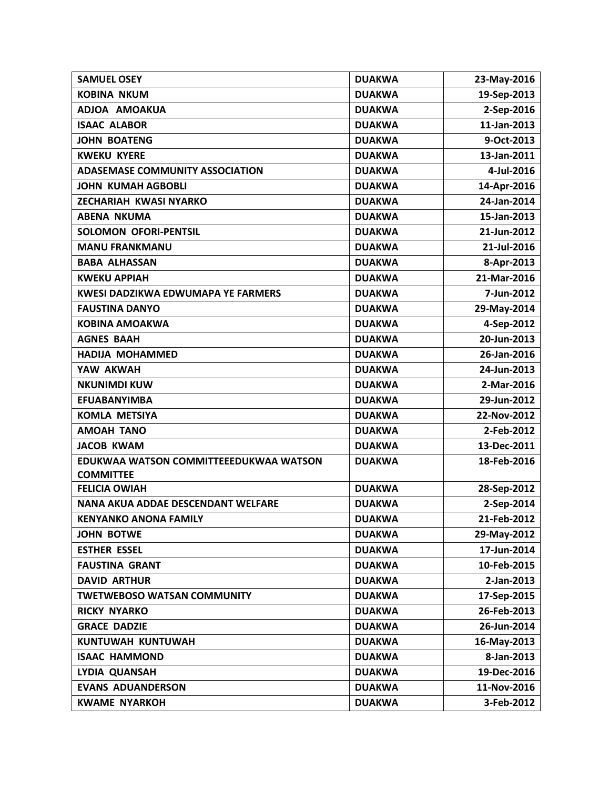| <b>SAMUEL OSEY</b>                                         | <b>DUAKWA</b> | 23-May-2016    |
|------------------------------------------------------------|---------------|----------------|
| <b>KOBINA NKUM</b>                                         | <b>DUAKWA</b> | 19-Sep-2013    |
| ADJOA AMOAKUA                                              | <b>DUAKWA</b> | 2-Sep-2016     |
| <b>ISAAC ALABOR</b>                                        | <b>DUAKWA</b> | $11$ -Jan-2013 |
| <b>JOHN BOATENG</b>                                        | <b>DUAKWA</b> | 9-Oct-2013     |
| <b>KWEKU KYERE</b>                                         | <b>DUAKWA</b> | 13-Jan-2011    |
| <b>ADASEMASE COMMUNITY ASSOCIATION</b>                     | <b>DUAKWA</b> | 4-Jul-2016     |
| <b>JOHN KUMAH AGBOBLI</b>                                  | <b>DUAKWA</b> | 14-Apr-2016    |
| <b>ZECHARIAH KWASI NYARKO</b>                              | <b>DUAKWA</b> | 24-Jan-2014    |
| <b>ABENA NKUMA</b>                                         | <b>DUAKWA</b> | 15-Jan-2013    |
| <b>SOLOMON OFORI-PENTSIL</b>                               | <b>DUAKWA</b> | 21-Jun-2012    |
| <b>MANU FRANKMANU</b>                                      | <b>DUAKWA</b> | 21-Jul-2016    |
| <b>BABA ALHASSAN</b>                                       | <b>DUAKWA</b> | 8-Apr-2013     |
| <b>KWEKU APPIAH</b>                                        | <b>DUAKWA</b> | 21-Mar-2016    |
| <b>KWESI DADZIKWA EDWUMAPA YE FARMERS</b>                  | <b>DUAKWA</b> | 7-Jun-2012     |
| <b>FAUSTINA DANYO</b>                                      | <b>DUAKWA</b> | 29-May-2014    |
| <b>KOBINA AMOAKWA</b>                                      | <b>DUAKWA</b> | 4-Sep-2012     |
| <b>AGNES BAAH</b>                                          | <b>DUAKWA</b> | 20-Jun-2013    |
| <b>HADIJA MOHAMMED</b>                                     | <b>DUAKWA</b> | 26-Jan-2016    |
| YAW AKWAH                                                  | <b>DUAKWA</b> | 24-Jun-2013    |
| <b>NKUNIMDI KUW</b>                                        | <b>DUAKWA</b> | 2-Mar-2016     |
| <b>EFUABANYIMBA</b>                                        | <b>DUAKWA</b> | 29-Jun-2012    |
| <b>KOMLA METSIYA</b>                                       | <b>DUAKWA</b> | 22-Nov-2012    |
| <b>AMOAH TANO</b>                                          | <b>DUAKWA</b> | 2-Feb-2012     |
| <b>JACOB KWAM</b>                                          | <b>DUAKWA</b> | 13-Dec-2011    |
| EDUKWAA WATSON COMMITTEEEDUKWAA WATSON<br><b>COMMITTEE</b> | <b>DUAKWA</b> | 18-Feb-2016    |
| <b>FELICIA OWIAH</b>                                       | <b>DUAKWA</b> | 28-Sep-2012    |
| NANA AKUA ADDAE DESCENDANT WELFARE                         | <b>DUAKWA</b> | 2-Sep-2014     |
| <b>KENYANKO ANONA FAMILY</b>                               | <b>DUAKWA</b> | 21-Feb-2012    |
| <b>JOHN BOTWE</b>                                          | <b>DUAKWA</b> | 29-May-2012    |
| <b>ESTHER ESSEL</b>                                        | <b>DUAKWA</b> | 17-Jun-2014    |
| <b>FAUSTINA GRANT</b>                                      | <b>DUAKWA</b> | 10-Feb-2015    |
| <b>DAVID ARTHUR</b>                                        | <b>DUAKWA</b> | 2-Jan-2013     |
| <b>TWETWEBOSO WATSAN COMMUNITY</b>                         | <b>DUAKWA</b> | 17-Sep-2015    |
| <b>RICKY NYARKO</b>                                        | <b>DUAKWA</b> | 26-Feb-2013    |
| <b>GRACE DADZIE</b>                                        | <b>DUAKWA</b> | 26-Jun-2014    |
| KUNTUWAH KUNTUWAH                                          | <b>DUAKWA</b> | 16-May-2013    |
| <b>ISAAC HAMMOND</b>                                       | <b>DUAKWA</b> | 8-Jan-2013     |
| LYDIA QUANSAH                                              | <b>DUAKWA</b> | 19-Dec-2016    |
| <b>EVANS ADUANDERSON</b>                                   | <b>DUAKWA</b> | 11-Nov-2016    |
| <b>KWAME NYARKOH</b>                                       | <b>DUAKWA</b> | 3-Feb-2012     |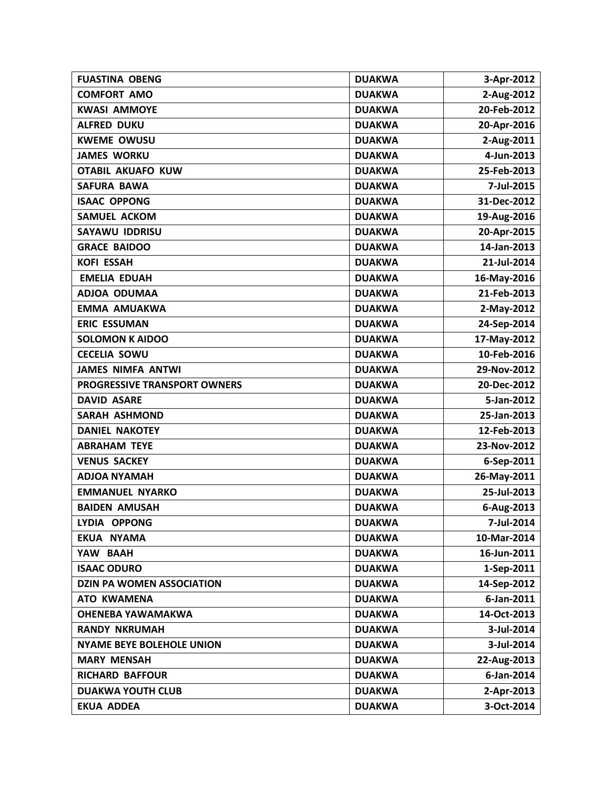| <b>FUASTINA OBENG</b>               | <b>DUAKWA</b> | 3-Apr-2012  |
|-------------------------------------|---------------|-------------|
| <b>COMFORT AMO</b>                  | <b>DUAKWA</b> | 2-Aug-2012  |
| <b>KWASI AMMOYE</b>                 | <b>DUAKWA</b> | 20-Feb-2012 |
| <b>ALFRED DUKU</b>                  | <b>DUAKWA</b> | 20-Apr-2016 |
| <b>KWEME OWUSU</b>                  | <b>DUAKWA</b> | 2-Aug-2011  |
| <b>JAMES WORKU</b>                  | <b>DUAKWA</b> | 4-Jun-2013  |
| <b>OTABIL AKUAFO KUW</b>            | <b>DUAKWA</b> | 25-Feb-2013 |
| <b>SAFURA BAWA</b>                  | <b>DUAKWA</b> | 7-Jul-2015  |
| <b>ISAAC OPPONG</b>                 | <b>DUAKWA</b> | 31-Dec-2012 |
| <b>SAMUEL ACKOM</b>                 | <b>DUAKWA</b> | 19-Aug-2016 |
| <b>SAYAWU IDDRISU</b>               | <b>DUAKWA</b> | 20-Apr-2015 |
| <b>GRACE BAIDOO</b>                 | <b>DUAKWA</b> | 14-Jan-2013 |
| <b>KOFI ESSAH</b>                   | <b>DUAKWA</b> | 21-Jul-2014 |
| <b>EMELIA EDUAH</b>                 | <b>DUAKWA</b> | 16-May-2016 |
| ADJOA ODUMAA                        | <b>DUAKWA</b> | 21-Feb-2013 |
| <b>EMMA AMUAKWA</b>                 | <b>DUAKWA</b> | 2-May-2012  |
| <b>ERIC ESSUMAN</b>                 | <b>DUAKWA</b> | 24-Sep-2014 |
| <b>SOLOMON K AIDOO</b>              | <b>DUAKWA</b> | 17-May-2012 |
| <b>CECELIA SOWU</b>                 | <b>DUAKWA</b> | 10-Feb-2016 |
| <b>JAMES NIMFA ANTWI</b>            | <b>DUAKWA</b> | 29-Nov-2012 |
| <b>PROGRESSIVE TRANSPORT OWNERS</b> | <b>DUAKWA</b> | 20-Dec-2012 |
| <b>DAVID ASARE</b>                  | <b>DUAKWA</b> | 5-Jan-2012  |
| <b>SARAH ASHMOND</b>                | <b>DUAKWA</b> | 25-Jan-2013 |
| <b>DANIEL NAKOTEY</b>               | <b>DUAKWA</b> | 12-Feb-2013 |
| <b>ABRAHAM TEYE</b>                 | <b>DUAKWA</b> | 23-Nov-2012 |
| <b>VENUS SACKEY</b>                 | <b>DUAKWA</b> | 6-Sep-2011  |
| <b>ADJOA NYAMAH</b>                 | <b>DUAKWA</b> | 26-May-2011 |
| <b>EMMANUEL NYARKO</b>              | <b>DUAKWA</b> | 25-Jul-2013 |
| <b>BAIDEN AMUSAH</b>                | <b>DUAKWA</b> | 6-Aug-2013  |
| LYDIA OPPONG                        | <b>DUAKWA</b> | 7-Jul-2014  |
| EKUA NYAMA                          | <b>DUAKWA</b> | 10-Mar-2014 |
| YAW BAAH                            | <b>DUAKWA</b> | 16-Jun-2011 |
| <b>ISAAC ODURO</b>                  | <b>DUAKWA</b> | 1-Sep-2011  |
| <b>DZIN PA WOMEN ASSOCIATION</b>    | <b>DUAKWA</b> | 14-Sep-2012 |
| <b>ATO KWAMENA</b>                  | <b>DUAKWA</b> | 6-Jan-2011  |
| <b>OHENEBA YAWAMAKWA</b>            | <b>DUAKWA</b> | 14-Oct-2013 |
| <b>RANDY NKRUMAH</b>                | <b>DUAKWA</b> | 3-Jul-2014  |
| <b>NYAME BEYE BOLEHOLE UNION</b>    | <b>DUAKWA</b> | 3-Jul-2014  |
| <b>MARY MENSAH</b>                  | <b>DUAKWA</b> | 22-Aug-2013 |
| <b>RICHARD BAFFOUR</b>              | <b>DUAKWA</b> | 6-Jan-2014  |
| <b>DUAKWA YOUTH CLUB</b>            | <b>DUAKWA</b> | 2-Apr-2013  |
| <b>EKUA ADDEA</b>                   | <b>DUAKWA</b> | 3-Oct-2014  |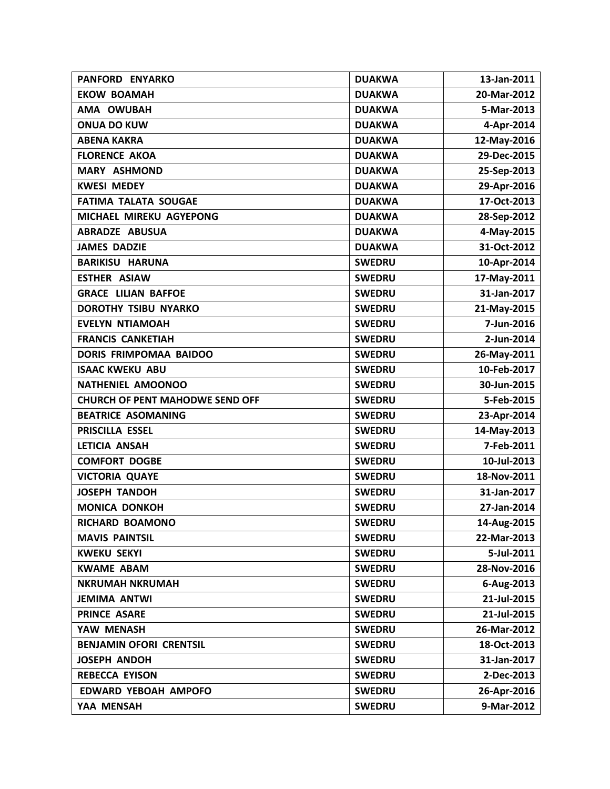| PANFORD ENYARKO                        | <b>DUAKWA</b> | 13-Jan-2011 |
|----------------------------------------|---------------|-------------|
| <b>EKOW BOAMAH</b>                     | <b>DUAKWA</b> | 20-Mar-2012 |
| AMA OWUBAH                             | <b>DUAKWA</b> | 5-Mar-2013  |
| <b>ONUA DO KUW</b>                     | <b>DUAKWA</b> | 4-Apr-2014  |
| <b>ABENA KAKRA</b>                     | <b>DUAKWA</b> | 12-May-2016 |
| <b>FLORENCE AKOA</b>                   | <b>DUAKWA</b> | 29-Dec-2015 |
| <b>MARY ASHMOND</b>                    | <b>DUAKWA</b> | 25-Sep-2013 |
| <b>KWESI MEDEY</b>                     | <b>DUAKWA</b> | 29-Apr-2016 |
| <b>FATIMA TALATA SOUGAE</b>            | <b>DUAKWA</b> | 17-Oct-2013 |
| MICHAEL MIREKU AGYEPONG                | <b>DUAKWA</b> | 28-Sep-2012 |
| <b>ABRADZE ABUSUA</b>                  | <b>DUAKWA</b> | 4-May-2015  |
| <b>JAMES DADZIE</b>                    | <b>DUAKWA</b> | 31-Oct-2012 |
| <b>BARIKISU HARUNA</b>                 | <b>SWEDRU</b> | 10-Apr-2014 |
| <b>ESTHER ASIAW</b>                    | <b>SWEDRU</b> | 17-May-2011 |
| <b>GRACE LILIAN BAFFOE</b>             | <b>SWEDRU</b> | 31-Jan-2017 |
| DOROTHY TSIBU NYARKO                   | <b>SWEDRU</b> | 21-May-2015 |
| <b>EVELYN NTIAMOAH</b>                 | <b>SWEDRU</b> | 7-Jun-2016  |
| <b>FRANCIS CANKETIAH</b>               | <b>SWEDRU</b> | 2-Jun-2014  |
| DORIS FRIMPOMAA BAIDOO                 | <b>SWEDRU</b> | 26-May-2011 |
| <b>ISAAC KWEKU ABU</b>                 | <b>SWEDRU</b> | 10-Feb-2017 |
| NATHENIEL AMOONOO                      | <b>SWEDRU</b> | 30-Jun-2015 |
| <b>CHURCH OF PENT MAHODWE SEND OFF</b> | <b>SWEDRU</b> | 5-Feb-2015  |
| <b>BEATRICE ASOMANING</b>              | <b>SWEDRU</b> | 23-Apr-2014 |
| PRISCILLA ESSEL                        | <b>SWEDRU</b> | 14-May-2013 |
| LETICIA ANSAH                          | <b>SWEDRU</b> | 7-Feb-2011  |
| <b>COMFORT DOGBE</b>                   | <b>SWEDRU</b> | 10-Jul-2013 |
| <b>VICTORIA QUAYE</b>                  | <b>SWEDRU</b> | 18-Nov-2011 |
| <b>JOSEPH TANDOH</b>                   | <b>SWEDRU</b> | 31-Jan-2017 |
| <b>MONICA DONKOH</b>                   | <b>SWEDRU</b> | 27-Jan-2014 |
| RICHARD BOAMONO                        | <b>SWEDRU</b> | 14-Aug-2015 |
| <b>MAVIS PAINTSIL</b>                  | <b>SWEDRU</b> | 22-Mar-2013 |
| <b>KWEKU SEKYI</b>                     | <b>SWEDRU</b> | 5-Jul-2011  |
| <b>KWAME ABAM</b>                      | <b>SWEDRU</b> | 28-Nov-2016 |
| <b>NKRUMAH NKRUMAH</b>                 | <b>SWEDRU</b> | 6-Aug-2013  |
| <b>JEMIMA ANTWI</b>                    | <b>SWEDRU</b> | 21-Jul-2015 |
| PRINCE ASARE                           | <b>SWEDRU</b> | 21-Jul-2015 |
| YAW MENASH                             | <b>SWEDRU</b> | 26-Mar-2012 |
| <b>BENJAMIN OFORI CRENTSIL</b>         | <b>SWEDRU</b> | 18-Oct-2013 |
| <b>JOSEPH ANDOH</b>                    | <b>SWEDRU</b> | 31-Jan-2017 |
| <b>REBECCA EYISON</b>                  | <b>SWEDRU</b> | 2-Dec-2013  |
| <b>EDWARD YEBOAH AMPOFO</b>            | <b>SWEDRU</b> | 26-Apr-2016 |
| YAA MENSAH                             | <b>SWEDRU</b> | 9-Mar-2012  |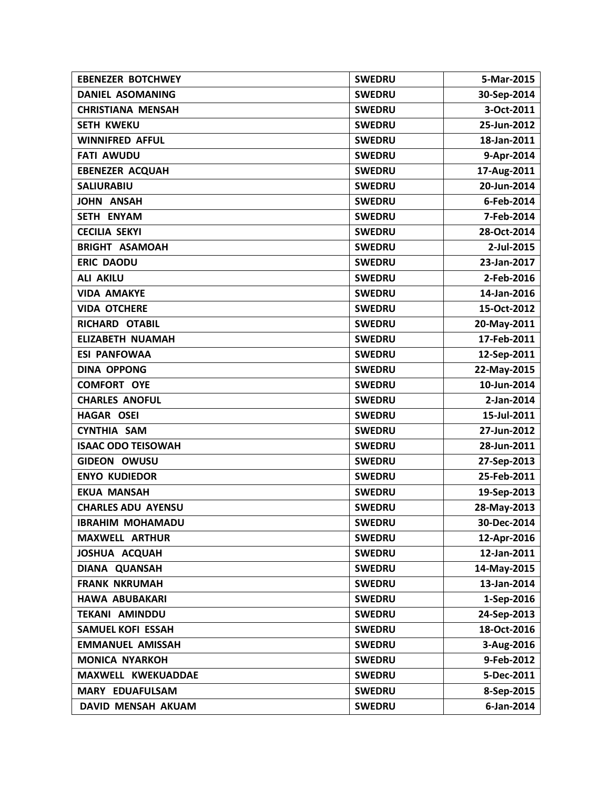| <b>EBENEZER BOTCHWEY</b>  | <b>SWEDRU</b> | 5-Mar-2015  |
|---------------------------|---------------|-------------|
| <b>DANIEL ASOMANING</b>   | <b>SWEDRU</b> | 30-Sep-2014 |
| <b>CHRISTIANA MENSAH</b>  | <b>SWEDRU</b> | 3-Oct-2011  |
| <b>SETH KWEKU</b>         | <b>SWEDRU</b> | 25-Jun-2012 |
| <b>WINNIFRED AFFUL</b>    | <b>SWEDRU</b> | 18-Jan-2011 |
| <b>FATI AWUDU</b>         | <b>SWEDRU</b> | 9-Apr-2014  |
| <b>EBENEZER ACQUAH</b>    | <b>SWEDRU</b> | 17-Aug-2011 |
| <b>SALIURABIU</b>         | <b>SWEDRU</b> | 20-Jun-2014 |
| <b>JOHN ANSAH</b>         | <b>SWEDRU</b> | 6-Feb-2014  |
| SETH ENYAM                | <b>SWEDRU</b> | 7-Feb-2014  |
| <b>CECILIA SEKYI</b>      | <b>SWEDRU</b> | 28-Oct-2014 |
| <b>BRIGHT ASAMOAH</b>     | <b>SWEDRU</b> | 2-Jul-2015  |
| <b>ERIC DAODU</b>         | <b>SWEDRU</b> | 23-Jan-2017 |
| <b>ALI AKILU</b>          | <b>SWEDRU</b> | 2-Feb-2016  |
| <b>VIDA AMAKYE</b>        | <b>SWEDRU</b> | 14-Jan-2016 |
| <b>VIDA OTCHERE</b>       | <b>SWEDRU</b> | 15-Oct-2012 |
| RICHARD OTABIL            | <b>SWEDRU</b> | 20-May-2011 |
| <b>ELIZABETH NUAMAH</b>   | <b>SWEDRU</b> | 17-Feb-2011 |
| <b>ESI PANFOWAA</b>       | <b>SWEDRU</b> | 12-Sep-2011 |
| <b>DINA OPPONG</b>        | <b>SWEDRU</b> | 22-May-2015 |
| <b>COMFORT OYE</b>        | <b>SWEDRU</b> | 10-Jun-2014 |
| <b>CHARLES ANOFUL</b>     | <b>SWEDRU</b> | 2-Jan-2014  |
| <b>HAGAR OSEI</b>         | <b>SWEDRU</b> | 15-Jul-2011 |
| <b>CYNTHIA SAM</b>        | <b>SWEDRU</b> | 27-Jun-2012 |
| <b>ISAAC ODO TEISOWAH</b> | <b>SWEDRU</b> | 28-Jun-2011 |
| <b>GIDEON OWUSU</b>       | <b>SWEDRU</b> | 27-Sep-2013 |
| <b>ENYO KUDIEDOR</b>      | <b>SWEDRU</b> | 25-Feb-2011 |
| <b>EKUA MANSAH</b>        | <b>SWEDRU</b> | 19-Sep-2013 |
| <b>CHARLES ADU AYENSU</b> | <b>SWEDRU</b> | 28-May-2013 |
| <b>IBRAHIM MOHAMADU</b>   | <b>SWEDRU</b> | 30-Dec-2014 |
| <b>MAXWELL ARTHUR</b>     | <b>SWEDRU</b> | 12-Apr-2016 |
| JOSHUA ACQUAH             | <b>SWEDRU</b> | 12-Jan-2011 |
| DIANA QUANSAH             | <b>SWEDRU</b> | 14-May-2015 |
| <b>FRANK NKRUMAH</b>      | <b>SWEDRU</b> | 13-Jan-2014 |
| <b>HAWA ABUBAKARI</b>     | <b>SWEDRU</b> | 1-Sep-2016  |
| <b>TEKANI AMINDDU</b>     | <b>SWEDRU</b> | 24-Sep-2013 |
| <b>SAMUEL KOFI ESSAH</b>  | <b>SWEDRU</b> | 18-Oct-2016 |
| <b>EMMANUEL AMISSAH</b>   | <b>SWEDRU</b> | 3-Aug-2016  |
| <b>MONICA NYARKOH</b>     | <b>SWEDRU</b> | 9-Feb-2012  |
| MAXWELL KWEKUADDAE        | <b>SWEDRU</b> | 5-Dec-2011  |
| MARY EDUAFULSAM           | <b>SWEDRU</b> | 8-Sep-2015  |
| DAVID MENSAH AKUAM        | <b>SWEDRU</b> | 6-Jan-2014  |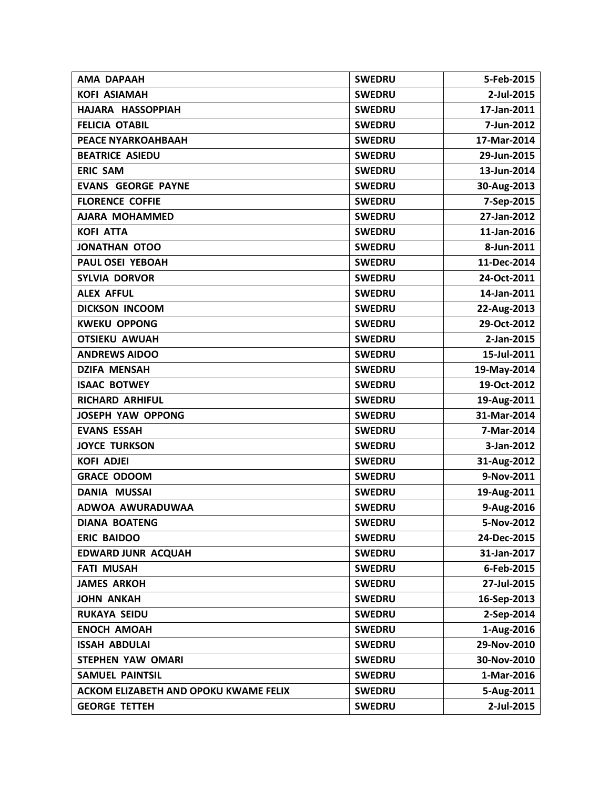| <b>AMA DAPAAH</b>                     | <b>SWEDRU</b> | 5-Feb-2015  |
|---------------------------------------|---------------|-------------|
| <b>KOFI ASIAMAH</b>                   | <b>SWEDRU</b> | 2-Jul-2015  |
| HAJARA HASSOPPIAH                     | <b>SWEDRU</b> | 17-Jan-2011 |
| <b>FELICIA OTABIL</b>                 | <b>SWEDRU</b> | 7-Jun-2012  |
| PEACE NYARKOAHBAAH                    | <b>SWEDRU</b> | 17-Mar-2014 |
| <b>BEATRICE ASIEDU</b>                | <b>SWEDRU</b> | 29-Jun-2015 |
| <b>ERIC SAM</b>                       | <b>SWEDRU</b> | 13-Jun-2014 |
| <b>EVANS GEORGE PAYNE</b>             | <b>SWEDRU</b> | 30-Aug-2013 |
| <b>FLORENCE COFFIE</b>                | <b>SWEDRU</b> | 7-Sep-2015  |
| <b>AJARA MOHAMMED</b>                 | <b>SWEDRU</b> | 27-Jan-2012 |
| <b>KOFI ATTA</b>                      | <b>SWEDRU</b> | 11-Jan-2016 |
| JONATHAN OTOO                         | <b>SWEDRU</b> | 8-Jun-2011  |
| PAUL OSEI YEBOAH                      | <b>SWEDRU</b> | 11-Dec-2014 |
| <b>SYLVIA DORVOR</b>                  | <b>SWEDRU</b> | 24-Oct-2011 |
| <b>ALEX AFFUL</b>                     | <b>SWEDRU</b> | 14-Jan-2011 |
| <b>DICKSON INCOOM</b>                 | <b>SWEDRU</b> | 22-Aug-2013 |
| <b>KWEKU OPPONG</b>                   | <b>SWEDRU</b> | 29-Oct-2012 |
| <b>OTSIEKU AWUAH</b>                  | <b>SWEDRU</b> | 2-Jan-2015  |
| <b>ANDREWS AIDOO</b>                  | <b>SWEDRU</b> | 15-Jul-2011 |
| <b>DZIFA MENSAH</b>                   | <b>SWEDRU</b> | 19-May-2014 |
| <b>ISAAC BOTWEY</b>                   | <b>SWEDRU</b> | 19-Oct-2012 |
| <b>RICHARD ARHIFUL</b>                | <b>SWEDRU</b> | 19-Aug-2011 |
| <b>JOSEPH YAW OPPONG</b>              | <b>SWEDRU</b> | 31-Mar-2014 |
| <b>EVANS ESSAH</b>                    | <b>SWEDRU</b> | 7-Mar-2014  |
| <b>JOYCE TURKSON</b>                  | <b>SWEDRU</b> | 3-Jan-2012  |
| <b>KOFI ADJEI</b>                     | <b>SWEDRU</b> | 31-Aug-2012 |
| <b>GRACE ODOOM</b>                    | <b>SWEDRU</b> | 9-Nov-2011  |
| <b>DANIA MUSSAI</b>                   | <b>SWEDRU</b> | 19-Aug-2011 |
| ADWOA AWURADUWAA                      | <b>SWEDRU</b> | 9-Aug-2016  |
| <b>DIANA BOATENG</b>                  | <b>SWEDRU</b> | 5-Nov-2012  |
| <b>ERIC BAIDOO</b>                    | <b>SWEDRU</b> | 24-Dec-2015 |
| <b>EDWARD JUNR ACQUAH</b>             | <b>SWEDRU</b> | 31-Jan-2017 |
| <b>FATI MUSAH</b>                     | <b>SWEDRU</b> | 6-Feb-2015  |
| <b>JAMES ARKOH</b>                    | <b>SWEDRU</b> | 27-Jul-2015 |
| <b>JOHN ANKAH</b>                     | <b>SWEDRU</b> | 16-Sep-2013 |
| <b>RUKAYA SEIDU</b>                   | <b>SWEDRU</b> | 2-Sep-2014  |
| <b>ENOCH AMOAH</b>                    | <b>SWEDRU</b> | 1-Aug-2016  |
| <b>ISSAH ABDULAI</b>                  | <b>SWEDRU</b> | 29-Nov-2010 |
| <b>STEPHEN YAW OMARI</b>              | <b>SWEDRU</b> | 30-Nov-2010 |
| <b>SAMUEL PAINTSIL</b>                | <b>SWEDRU</b> | 1-Mar-2016  |
| ACKOM ELIZABETH AND OPOKU KWAME FELIX | <b>SWEDRU</b> | 5-Aug-2011  |
| <b>GEORGE TETTEH</b>                  | <b>SWEDRU</b> | 2-Jul-2015  |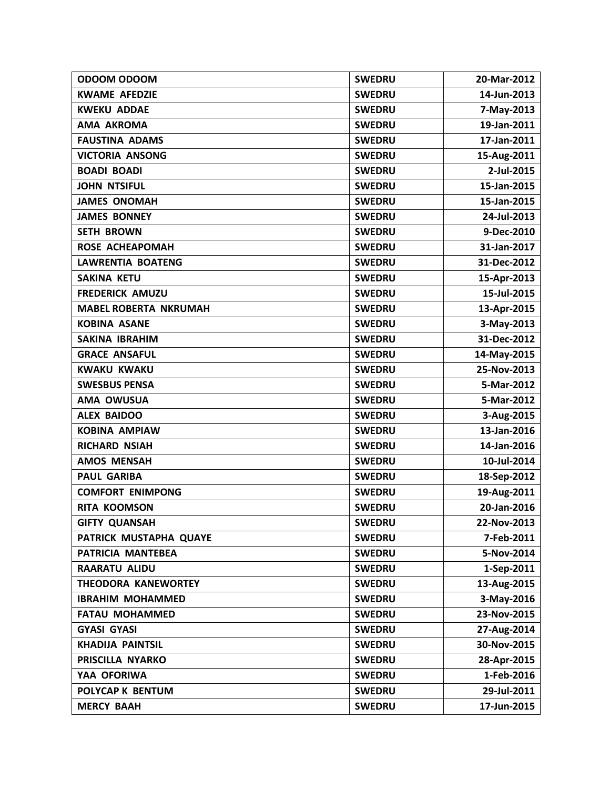| ODOOM ODOOM                  | <b>SWEDRU</b> | 20-Mar-2012 |
|------------------------------|---------------|-------------|
| <b>KWAME AFEDZIE</b>         | <b>SWEDRU</b> | 14-Jun-2013 |
| <b>KWEKU ADDAE</b>           | <b>SWEDRU</b> | 7-May-2013  |
| <b>AMA AKROMA</b>            | <b>SWEDRU</b> | 19-Jan-2011 |
| <b>FAUSTINA ADAMS</b>        | <b>SWEDRU</b> | 17-Jan-2011 |
| <b>VICTORIA ANSONG</b>       | <b>SWEDRU</b> | 15-Aug-2011 |
| <b>BOADI BOADI</b>           | <b>SWEDRU</b> | 2-Jul-2015  |
| <b>JOHN NTSIFUL</b>          | <b>SWEDRU</b> | 15-Jan-2015 |
| <b>JAMES ONOMAH</b>          | <b>SWEDRU</b> | 15-Jan-2015 |
| <b>JAMES BONNEY</b>          | <b>SWEDRU</b> | 24-Jul-2013 |
| <b>SETH BROWN</b>            | <b>SWEDRU</b> | 9-Dec-2010  |
| <b>ROSE ACHEAPOMAH</b>       | <b>SWEDRU</b> | 31-Jan-2017 |
| <b>LAWRENTIA BOATENG</b>     | <b>SWEDRU</b> | 31-Dec-2012 |
| <b>SAKINA KETU</b>           | <b>SWEDRU</b> | 15-Apr-2013 |
| <b>FREDERICK AMUZU</b>       | <b>SWEDRU</b> | 15-Jul-2015 |
| <b>MABEL ROBERTA NKRUMAH</b> | <b>SWEDRU</b> | 13-Apr-2015 |
| <b>KOBINA ASANE</b>          | <b>SWEDRU</b> | 3-May-2013  |
| <b>SAKINA IBRAHIM</b>        | <b>SWEDRU</b> | 31-Dec-2012 |
| <b>GRACE ANSAFUL</b>         | <b>SWEDRU</b> | 14-May-2015 |
| <b>KWAKU KWAKU</b>           | <b>SWEDRU</b> | 25-Nov-2013 |
| <b>SWESBUS PENSA</b>         | <b>SWEDRU</b> | 5-Mar-2012  |
| <b>AMA OWUSUA</b>            | <b>SWEDRU</b> | 5-Mar-2012  |
| <b>ALEX BAIDOO</b>           | <b>SWEDRU</b> | 3-Aug-2015  |
| <b>KOBINA AMPIAW</b>         | <b>SWEDRU</b> | 13-Jan-2016 |
| <b>RICHARD NSIAH</b>         | <b>SWEDRU</b> | 14-Jan-2016 |
| <b>AMOS MENSAH</b>           | <b>SWEDRU</b> | 10-Jul-2014 |
| <b>PAUL GARIBA</b>           | <b>SWEDRU</b> | 18-Sep-2012 |
| <b>COMFORT ENIMPONG</b>      | <b>SWEDRU</b> | 19-Aug-2011 |
| <b>RITA KOOMSON</b>          | <b>SWEDRU</b> | 20-Jan-2016 |
| <b>GIFTY QUANSAH</b>         | <b>SWEDRU</b> | 22-Nov-2013 |
| PATRICK MUSTAPHA QUAYE       | <b>SWEDRU</b> | 7-Feb-2011  |
| PATRICIA MANTEBEA            | <b>SWEDRU</b> | 5-Nov-2014  |
| <b>RAARATU ALIDU</b>         | <b>SWEDRU</b> | 1-Sep-2011  |
| THEODORA KANEWORTEY          | <b>SWEDRU</b> | 13-Aug-2015 |
| <b>IBRAHIM MOHAMMED</b>      | <b>SWEDRU</b> | 3-May-2016  |
| <b>FATAU MOHAMMED</b>        | <b>SWEDRU</b> | 23-Nov-2015 |
| <b>GYASI GYASI</b>           | <b>SWEDRU</b> | 27-Aug-2014 |
| <b>KHADIJA PAINTSIL</b>      | <b>SWEDRU</b> | 30-Nov-2015 |
| PRISCILLA NYARKO             | <b>SWEDRU</b> | 28-Apr-2015 |
| YAA OFORIWA                  | <b>SWEDRU</b> | 1-Feb-2016  |
| POLYCAP K BENTUM             | <b>SWEDRU</b> | 29-Jul-2011 |
| <b>MERCY BAAH</b>            | <b>SWEDRU</b> | 17-Jun-2015 |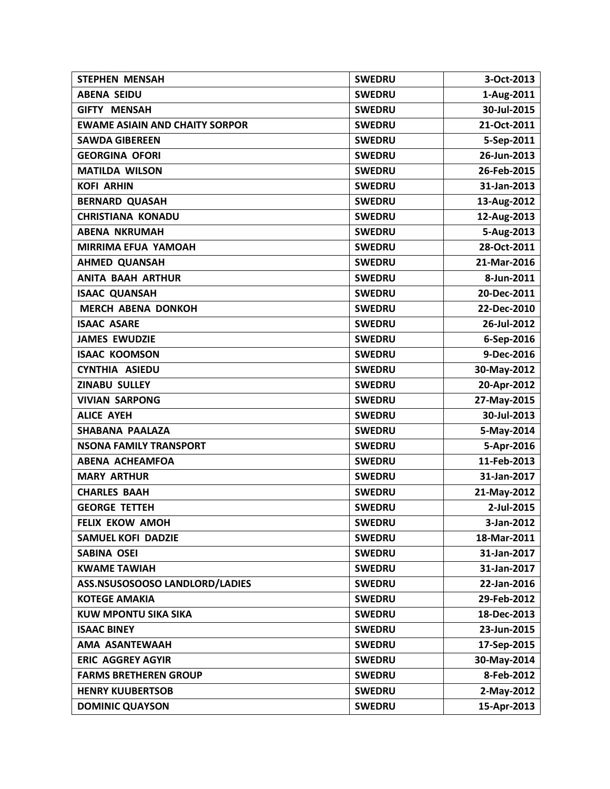| <b>STEPHEN MENSAH</b>                 | <b>SWEDRU</b> | 3-Oct-2013  |
|---------------------------------------|---------------|-------------|
| <b>ABENA SEIDU</b>                    | <b>SWEDRU</b> | 1-Aug-2011  |
| <b>GIFTY MENSAH</b>                   | <b>SWEDRU</b> | 30-Jul-2015 |
| <b>EWAME ASIAIN AND CHAITY SORPOR</b> | <b>SWEDRU</b> | 21-Oct-2011 |
| <b>SAWDA GIBEREEN</b>                 | <b>SWEDRU</b> | 5-Sep-2011  |
| <b>GEORGINA OFORI</b>                 | <b>SWEDRU</b> | 26-Jun-2013 |
| <b>MATILDA WILSON</b>                 | <b>SWEDRU</b> | 26-Feb-2015 |
| <b>KOFI ARHIN</b>                     | <b>SWEDRU</b> | 31-Jan-2013 |
| <b>BERNARD QUASAH</b>                 | <b>SWEDRU</b> | 13-Aug-2012 |
| <b>CHRISTIANA KONADU</b>              | <b>SWEDRU</b> | 12-Aug-2013 |
| <b>ABENA NKRUMAH</b>                  | <b>SWEDRU</b> | 5-Aug-2013  |
| <b>MIRRIMA EFUA YAMOAH</b>            | <b>SWEDRU</b> | 28-Oct-2011 |
| <b>AHMED QUANSAH</b>                  | <b>SWEDRU</b> | 21-Mar-2016 |
| <b>ANITA BAAH ARTHUR</b>              | <b>SWEDRU</b> | 8-Jun-2011  |
| <b>ISAAC QUANSAH</b>                  | <b>SWEDRU</b> | 20-Dec-2011 |
| <b>MERCH ABENA DONKOH</b>             | <b>SWEDRU</b> | 22-Dec-2010 |
| <b>ISAAC ASARE</b>                    | <b>SWEDRU</b> | 26-Jul-2012 |
| <b>JAMES EWUDZIE</b>                  | <b>SWEDRU</b> | 6-Sep-2016  |
| <b>ISAAC KOOMSON</b>                  | <b>SWEDRU</b> | 9-Dec-2016  |
| <b>CYNTHIA ASIEDU</b>                 | <b>SWEDRU</b> | 30-May-2012 |
| <b>ZINABU SULLEY</b>                  | <b>SWEDRU</b> | 20-Apr-2012 |
| <b>VIVIAN SARPONG</b>                 | <b>SWEDRU</b> | 27-May-2015 |
| <b>ALICE AYEH</b>                     | <b>SWEDRU</b> | 30-Jul-2013 |
| <b>SHABANA PAALAZA</b>                | <b>SWEDRU</b> | 5-May-2014  |
| <b>NSONA FAMILY TRANSPORT</b>         | <b>SWEDRU</b> | 5-Apr-2016  |
| <b>ABENA ACHEAMFOA</b>                | <b>SWEDRU</b> | 11-Feb-2013 |
| <b>MARY ARTHUR</b>                    | <b>SWEDRU</b> | 31-Jan-2017 |
| <b>CHARLES BAAH</b>                   | <b>SWEDRU</b> | 21-May-2012 |
| <b>GEORGE TETTEH</b>                  | <b>SWEDRU</b> | 2-Jul-2015  |
| <b>FELIX EKOW AMOH</b>                | <b>SWEDRU</b> | 3-Jan-2012  |
| <b>SAMUEL KOFI DADZIE</b>             | <b>SWEDRU</b> | 18-Mar-2011 |
| <b>SABINA OSEI</b>                    | <b>SWEDRU</b> | 31-Jan-2017 |
| <b>KWAME TAWIAH</b>                   | <b>SWEDRU</b> | 31-Jan-2017 |
| ASS.NSUSOSOOSO LANDLORD/LADIES        | <b>SWEDRU</b> | 22-Jan-2016 |
| <b>KOTEGE AMAKIA</b>                  | <b>SWEDRU</b> | 29-Feb-2012 |
| <b>KUW MPONTU SIKA SIKA</b>           | <b>SWEDRU</b> | 18-Dec-2013 |
| <b>ISAAC BINEY</b>                    | <b>SWEDRU</b> | 23-Jun-2015 |
| AMA ASANTEWAAH                        | <b>SWEDRU</b> | 17-Sep-2015 |
| <b>ERIC AGGREY AGYIR</b>              | <b>SWEDRU</b> | 30-May-2014 |
| <b>FARMS BRETHEREN GROUP</b>          | <b>SWEDRU</b> | 8-Feb-2012  |
| <b>HENRY KUUBERTSOB</b>               | <b>SWEDRU</b> | 2-May-2012  |
| <b>DOMINIC QUAYSON</b>                | <b>SWEDRU</b> | 15-Apr-2013 |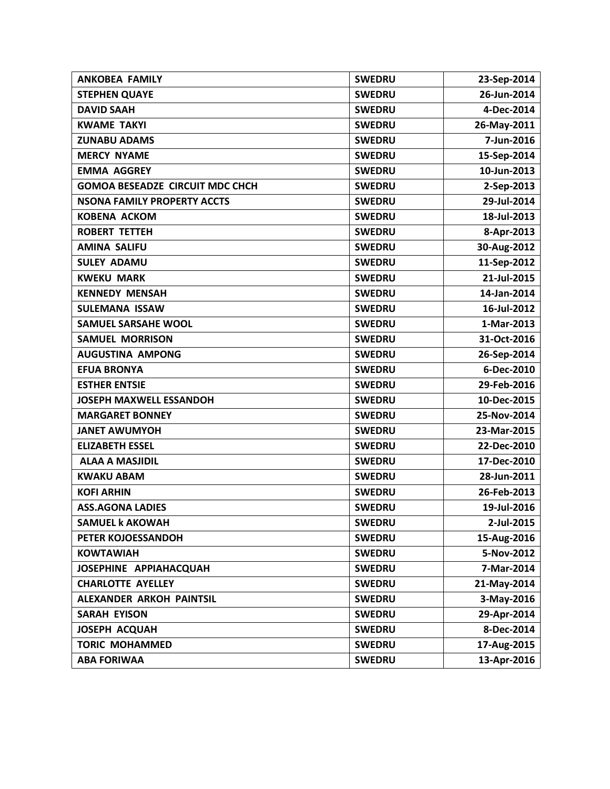| <b>ANKOBEA FAMILY</b>                  | <b>SWEDRU</b> | 23-Sep-2014 |
|----------------------------------------|---------------|-------------|
| <b>STEPHEN QUAYE</b>                   | <b>SWEDRU</b> | 26-Jun-2014 |
| <b>DAVID SAAH</b>                      | <b>SWEDRU</b> | 4-Dec-2014  |
| <b>KWAME TAKYI</b>                     | <b>SWEDRU</b> | 26-May-2011 |
| <b>ZUNABU ADAMS</b>                    | <b>SWEDRU</b> | 7-Jun-2016  |
| <b>MERCY NYAME</b>                     | <b>SWEDRU</b> | 15-Sep-2014 |
| <b>EMMA AGGREY</b>                     | <b>SWEDRU</b> | 10-Jun-2013 |
| <b>GOMOA BESEADZE CIRCUIT MDC CHCH</b> | <b>SWEDRU</b> | 2-Sep-2013  |
| <b>NSONA FAMILY PROPERTY ACCTS</b>     | <b>SWEDRU</b> | 29-Jul-2014 |
| <b>KOBENA ACKOM</b>                    | <b>SWEDRU</b> | 18-Jul-2013 |
| <b>ROBERT TETTEH</b>                   | <b>SWEDRU</b> | 8-Apr-2013  |
| <b>AMINA SALIFU</b>                    | <b>SWEDRU</b> | 30-Aug-2012 |
| <b>SULEY ADAMU</b>                     | <b>SWEDRU</b> | 11-Sep-2012 |
| <b>KWEKU MARK</b>                      | <b>SWEDRU</b> | 21-Jul-2015 |
| <b>KENNEDY MENSAH</b>                  | <b>SWEDRU</b> | 14-Jan-2014 |
| <b>SULEMANA ISSAW</b>                  | <b>SWEDRU</b> | 16-Jul-2012 |
| <b>SAMUEL SARSAHE WOOL</b>             | <b>SWEDRU</b> | 1-Mar-2013  |
| <b>SAMUEL MORRISON</b>                 | <b>SWEDRU</b> | 31-Oct-2016 |
| <b>AUGUSTINA AMPONG</b>                | <b>SWEDRU</b> | 26-Sep-2014 |
| <b>EFUA BRONYA</b>                     | <b>SWEDRU</b> | 6-Dec-2010  |
| <b>ESTHER ENTSIE</b>                   | <b>SWEDRU</b> | 29-Feb-2016 |
| <b>JOSEPH MAXWELL ESSANDOH</b>         | <b>SWEDRU</b> | 10-Dec-2015 |
| <b>MARGARET BONNEY</b>                 | <b>SWEDRU</b> | 25-Nov-2014 |
| <b>JANET AWUMYOH</b>                   | <b>SWEDRU</b> | 23-Mar-2015 |
| <b>ELIZABETH ESSEL</b>                 | <b>SWEDRU</b> | 22-Dec-2010 |
| <b>ALAA A MASJIDIL</b>                 | <b>SWEDRU</b> | 17-Dec-2010 |
| <b>KWAKU ABAM</b>                      | <b>SWEDRU</b> | 28-Jun-2011 |
| <b>KOFI ARHIN</b>                      | <b>SWEDRU</b> | 26-Feb-2013 |
| <b>ASS.AGONA LADIES</b>                | <b>SWEDRU</b> | 19-Jul-2016 |
| <b>SAMUEL k AKOWAH</b>                 | <b>SWEDRU</b> | 2-Jul-2015  |
| PETER KOJOESSANDOH                     | <b>SWEDRU</b> | 15-Aug-2016 |
| <b>KOWTAWIAH</b>                       | <b>SWEDRU</b> | 5-Nov-2012  |
| JOSEPHINE APPIAHACQUAH                 | <b>SWEDRU</b> | 7-Mar-2014  |
| <b>CHARLOTTE AYELLEY</b>               | <b>SWEDRU</b> | 21-May-2014 |
| ALEXANDER ARKOH PAINTSIL               | <b>SWEDRU</b> | 3-May-2016  |
| <b>SARAH EYISON</b>                    | <b>SWEDRU</b> | 29-Apr-2014 |
| JOSEPH ACQUAH                          | <b>SWEDRU</b> | 8-Dec-2014  |
| <b>TORIC MOHAMMED</b>                  | <b>SWEDRU</b> | 17-Aug-2015 |
| <b>ABA FORIWAA</b>                     | <b>SWEDRU</b> | 13-Apr-2016 |